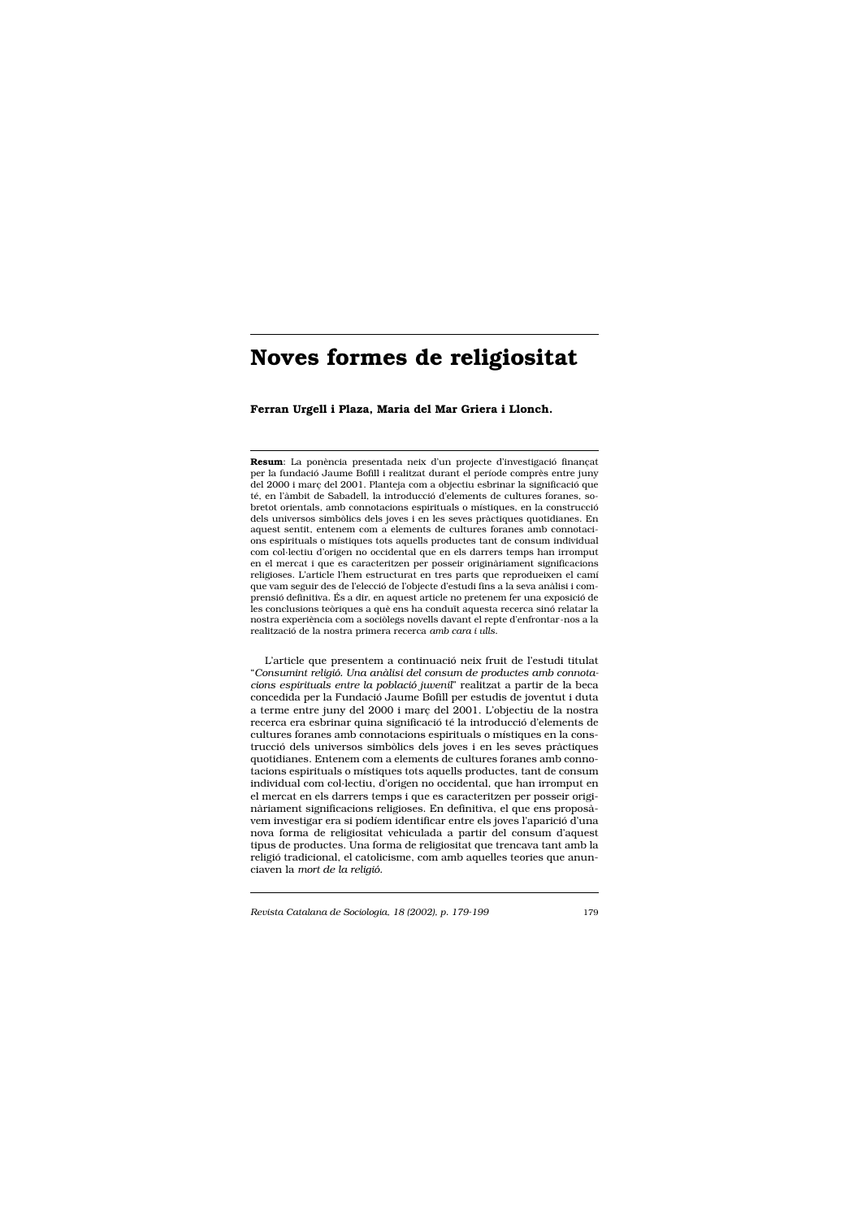Ferran Urgell i Plaza, Maria del Mar Griera i Llonch.

Resum: La ponència presentada neix d'un projecte d'investigació finançat per la fundació Jaume Bofill i realitzat durant el període comprès entre juny del 2000 i març del 2001. Planteja com a objectiu esbrinar la significació que té, en l'àmbit de Sabadell, la introducció d'elements de cultures foranes, sobretot orientals, amb connotacions espirituals o místiques, en la construcció dels universos simbòlics dels joves i en les seves pràctiques quotidianes. En aquest sentit, entenem com a elements de cultures foranes amb connotacions espirituals o místiques tots aquells productes tant de consum individual com col·lectiu d'origen no occidental que en els darrers temps han irromput en el mercat i que es caracteritzen per posseir originàriament significacions religioses. L'article l'hem estructurat en tres parts que reprodueixen el camí que vam seguir des de l'elecció de l'objecte d'estudi fins a la seva anàlisi i comprensió definitiva. És a dir, en aquest article no pretenem fer una exposició de les conclusions teòriques a què ens ha conduït aquesta recerca sinó relatar la nostra experiència com a sociòlegs novells davant el repte d'enfrontar-nos a la realització de la nostra primera recerca amb cara i ulls.

L'article que presentem a continuació neix fruit de l'estudi titulat "Consumint religió. Una anàlisi del consum de productes amb connotacions espirituals entre la població juvenil" realitzat a partir de la beca concedida per la Fundació Jaume Bofill per estudis de joventut i duta a terme entre juny del 2000 i març del 2001. L'objectiu de la nostra recerca era esbrinar quina significació té la introducció d'elements de cultures foranes amb connotacions espirituals o místiques en la construcció dels universos simbòlics dels joves i en les seves pràctiques quotidianes. Entenem com a elements de cultures foranes amb connotacions espirituals o místiques tots aquells productes, tant de consum individual com col·lectiu, d'origen no occidental, que han irromput en el mercat en els darrers temps i que es caracteritzen per posseir originàriament significacions religioses. En definitiva, el que ens proposàvem investigar era si podíem identificar entre els joves l'aparició d'una nova forma de religiositat vehiculada a partir del consum d'aquest tipus de productes. Una forma de religiositat que trencava tant amb la religió tradicional, el catolicisme, com amb aquelles teories que anunciaven la mort de la religió.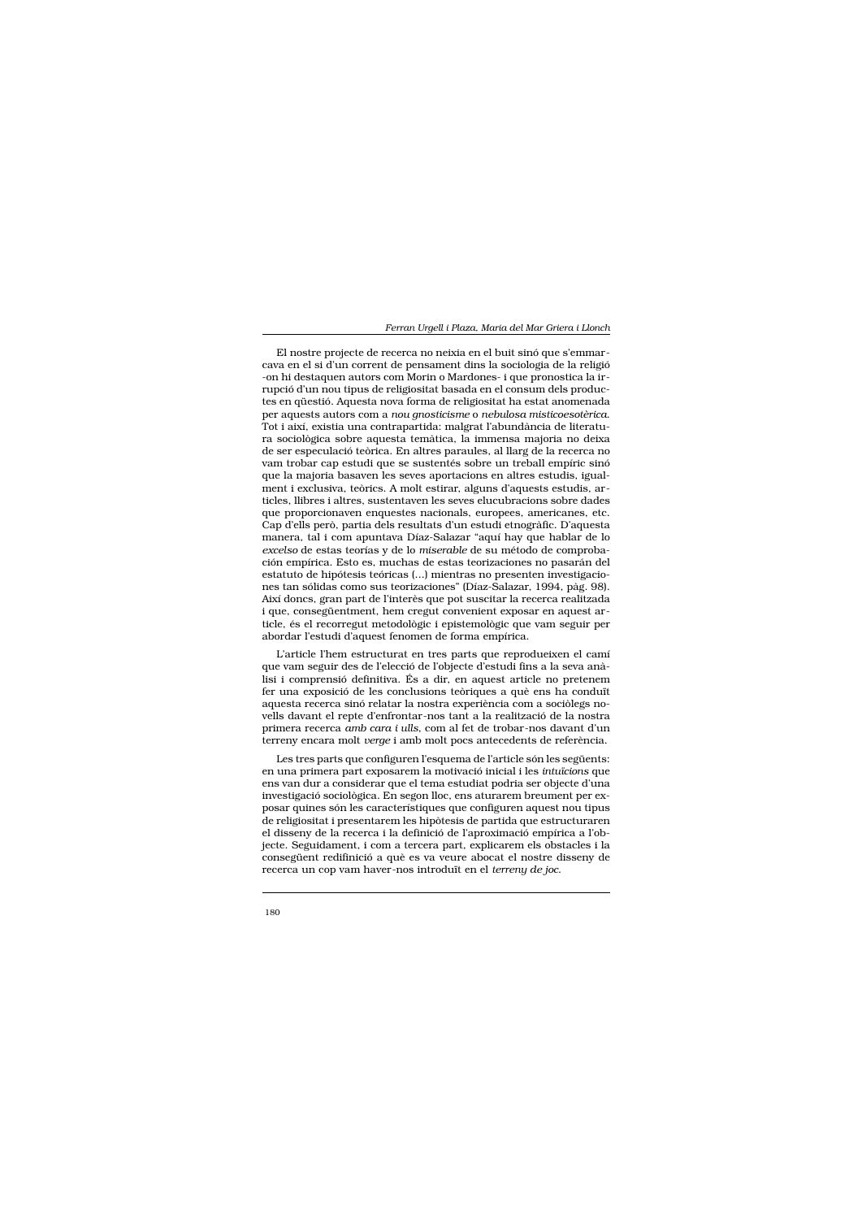El nostre projecte de recerca no neixia en el buit sinó que s'emmarcava en el si d'un corrent de pensament dins la sociologia de la religió -on hi destaquen autors com Morin o Mardones- i que pronostica la irrupció d'un nou tipus de religiositat basada en el consum dels productes en qüestió. Aquesta nova forma de religiositat ha estat anomenada per aquests autors com a nou gnosticisme o nebulosa misticoesotèrica. Tot i així, existia una contrapartida: malgrat l'abundància de literatura sociològica sobre aquesta temàtica, la immensa majoria no deixa de ser especulació teòrica. En altres paraules, al llarg de la recerca no vam trobar cap estudi que se sustentés sobre un treball empíric sinó que la majoria basaven les seves aportacions en altres estudis, igualment i exclusiva, teòrics. A molt estirar, alguns d'aquests estudis, articles, llibres i altres, sustentaven les seves elucubracions sobre dades que proporcionaven enquestes nacionals, europees, americanes, etc. Cap d'ells però, partia dels resultats d'un estudi etnogràfic. D'aquesta manera, tal i com apuntava Díaz-Salazar "aquí hay que hablar de lo excelso de estas teorías y de lo miserable de su método de comprobación empírica. Esto es, muchas de estas teorizaciones no pasarán del estatuto de hipótesis teóricas (...) mientras no presenten investigaciones tan sólidas como sus teorizaciones" (Díaz-Salazar, 1994, pàg. 98). Així doncs, gran part de l'interès que pot suscitar la recerca realitzada i que, consegüentment, hem cregut convenient exposar en aquest article, és el recorregut metodològic i epistemològic que vam seguir per abordar l'estudi d'aquest fenomen de forma empírica.

L'article l'hem estructurat en tres parts que reprodueixen el camí que vam seguir des de l'elecció de l'objecte d'estudi fins a la seva anàlisi i comprensió definitiva. És a dir, en aquest article no pretenem fer una exposició de les conclusions teòriques a què ens ha conduït aquesta recerca sinó relatar la nostra experiência com a sociòlegs novells davant el repte d'enfrontar-nos tant a la realització de la nostra primera recerca amb cara i ulls, com al fet de trobar-nos davant d'un terreny encara molt verge i amb molt pocs antecedents de referència.

Les tres parts que configuren l'esquema de l'article són les següents: en una primera part exposarem la motivació inicial i les intuïcions que ens van dur a considerar que el tema estudiat podria ser objecte d'una investigació sociològica. En segon lloc, ens aturarem breument per exposar quines són les característiques que configuren aquest nou tipus de religiositat i presentarem les hipòtesis de partida que estructuraren el disseny de la recerca i la definició de l'aproximació empírica a l'objecte. Seguidament, i com a tercera part, explicarem els obstacles i la consegüent redifinició a què es va veure abocat el nostre disseny de recerca un cop vam haver-nos introduït en el terreny de joc.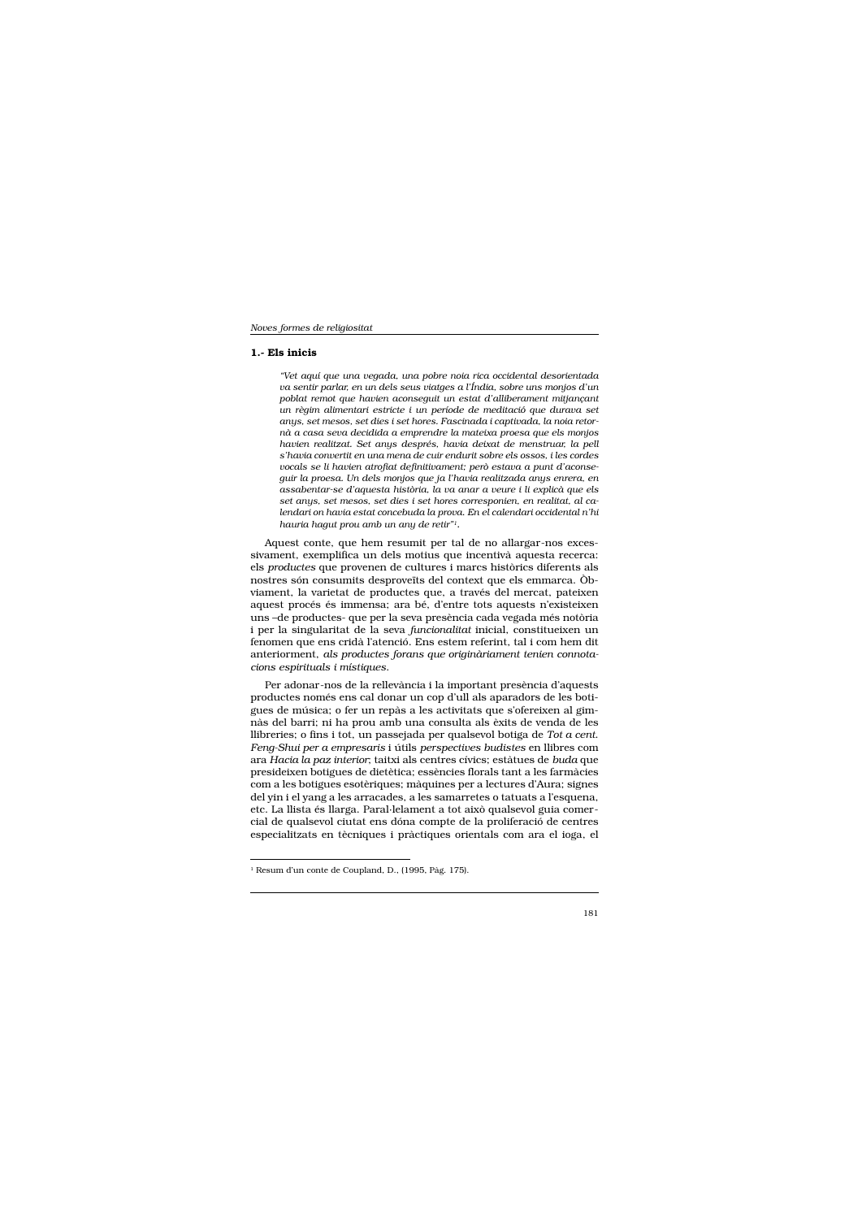# 1.- Els inicis

"Vet aquí que una vegada, una pobre noia rica occidental desorientada va sentir parlar, en un dels seus viatges a l'Índia, sobre uns monjos d'un poblat remot que havien aconseguit un estat d'alliberament mitjançant un règim alimentari estricte i un període de meditació que durava set anys, set mesos, set dies i set hores. Fascinada i captivada, la noia retornà a casa seva decidida a emprendre la mateixa proesa que els monjos havien realitzat. Set anys després, havia deixat de menstruar, la pell s'havia convertit en una mena de cuir endurit sobre els ossos, i les cordes vocals se li havien atrofiat definitivament; però estava a punt d'aconseguir la proesa. Un dels monjos que ja l'havia realitzada anys enrera, en assabentar-se d'aquesta història, la va anar a veure i li explicà que els set anys, set mesos, set dies i set hores corresponien, en realitat, al calendari on havia estat concebuda la prova. En el calendari occidental n'hi hauria haqut prou amb un any de retir"!.

Aquest conte, que hem resumit per tal de no allargar-nos excessivament, exemplifica un dels motius que incentivà aquesta recerca: els productes que provenen de cultures i marcs històrics diferents als nostres són consumits desproveïts del context que els emmarca. Obviament, la varietat de productes que, a través del mercat, pateixen aquest procés és immensa; ara bé, d'entre tots aquests n'existeixen uns -de productes- que per la seva presència cada vegada més notòria i per la singularitat de la seva funcionalitat inicial, constitueixen un fenomen que ens cridà l'atenció. Ens estem referint, tal i com hem dit anteriorment, als productes forans que originàriament tenien connotacions espirituals i místiques.

Per adonar-nos de la rellevància i la important presència d'aquests productes només ens cal donar un cop d'ull als aparadors de les botigues de música; o fer un repàs a les activitats que s'ofereixen al gimnàs del barri; ni ha prou amb una consulta als èxits de venda de les llibreries; o fins i tot, un passejada per qualsevol botiga de Tot a cent. Feng-Shui per a empresaris i útils perspectives budistes en llibres com ara Hacia la paz interior; taitxi als centres cívics; estàtues de buda que presideixen botigues de dietètica; essències florals tant a les farmàcies com a les botigues esotèriques; màquines per a lectures d'Aura; signes del yin i el yang a les arracades, a les samarretes o tatuats a l'esquena, etc. La llista és llarga. Paral·lelament a tot això qualsevol guia comercial de qualsevol ciutat ens dóna compte de la proliferació de centres especialitzats en tècniques i pràctiques orientals com ara el ioga, el

<sup>&</sup>lt;sup>1</sup> Resum d'un conte de Coupland, D., (1995, Pàg. 175).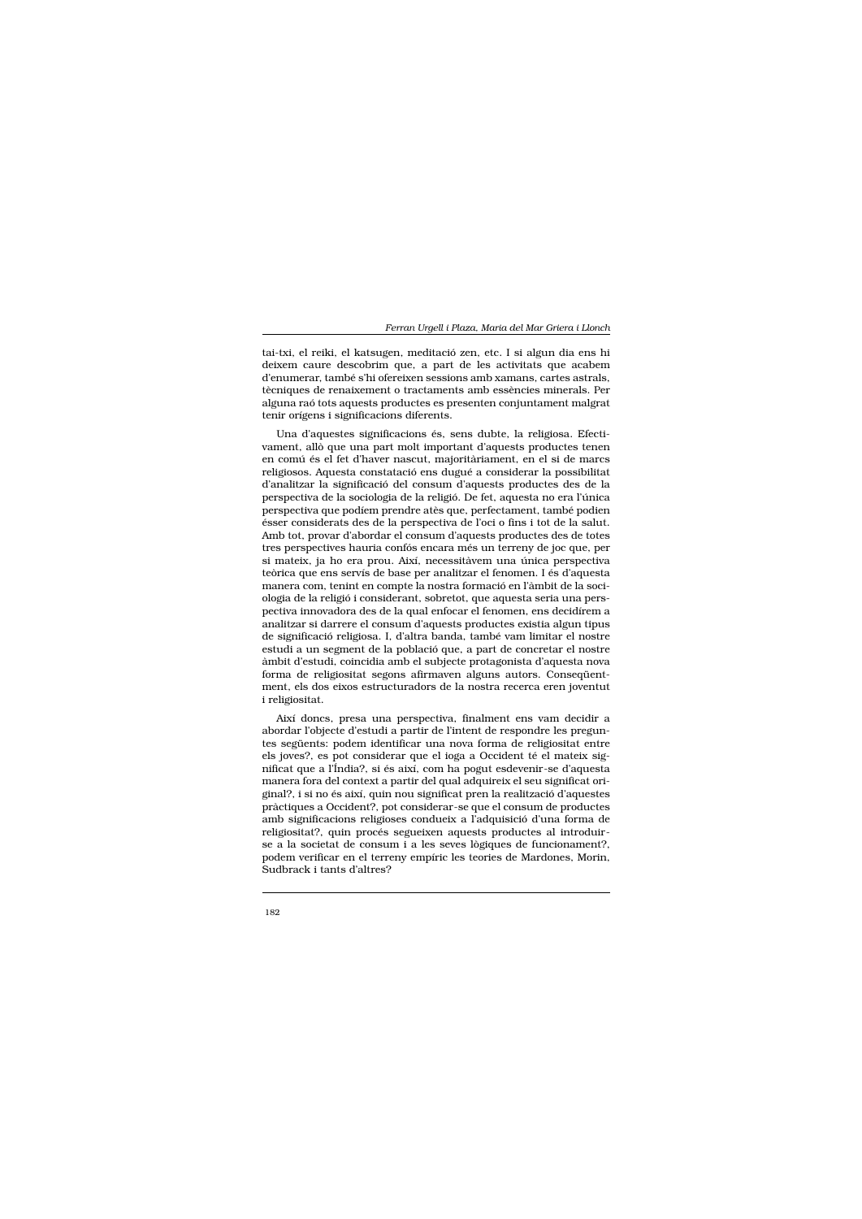tai-txi, el reiki, el katsugen, meditació zen, etc. I si algun dia ens hi deixem caure descobrim que, a part de les activitats que acabem d'enumerar, també s'hi ofereixen sessions amb xamans, cartes astrals, tècniques de renaixement o tractaments amb essències minerals. Per alguna raó tots aquests productes es presenten conjuntament malgrat tenir orígens i significacions diferents.

Una d'aquestes significacions és, sens dubte, la religiosa. Efectivament, allò que una part molt important d'aquests productes tenen en comú és el fet d'haver nascut, majoritàriament, en el si de marcs religiosos. Aquesta constatació ens dugué a considerar la possibilitat d'analitzar la significació del consum d'aquests productes des de la perspectiva de la sociologia de la religió. De fet, aquesta no era l'única perspectiva que podíem prendre atès que, perfectament, també podien ésser considerats des de la perspectiva de l'oci o fins i tot de la salut. Amb tot, provar d'abordar el consum d'aquests productes des de totes tres perspectives hauria confós encara més un terreny de joc que, per si mateix, ja ho era prou. Així, necessitàvem una única perspectiva teòrica que ens servís de base per analitzar el fenomen. I és d'aquesta manera com, tenint en compte la nostra formació en l'àmbit de la sociologia de la religió i considerant, sobretot, que aquesta seria una perspectiva innovadora des de la qual enfocar el fenomen, ens decidírem a analitzar si darrere el consum d'aquests productes existia algun tipus de significació religiosa. I, d'altra banda, també vam limitar el nostre estudi a un segment de la població que, a part de concretar el nostre àmbit d'estudi, coincidia amb el subjecte protagonista d'aquesta nova forma de religiositat segons afirmaven alguns autors. Consequentment, els dos eixos estructuradors de la nostra recerca eren joventut i religiositat.

Així doncs, presa una perspectiva, finalment ens vam decidir a abordar l'objecte d'estudi a partir de l'intent de respondre les preguntes següents: podem identificar una nova forma de religiositat entre els joves?, es pot considerar que el ioga a Occident té el mateix significat que a l'Índia?, si és així, com ha pogut esdevenir-se d'aquesta manera fora del context a partir del qual adquireix el seu significat original?, i si no és així, quin nou significat pren la realització d'aquestes pràctiques a Occident?, pot considerar-se que el consum de productes amb significacions religioses condueix a l'adquisició d'una forma de religiositat?, quin procés segueixen aquests productes al introduirse a la societat de consum i a les seves lògiques de funcionament?, podem verificar en el terreny empíric les teories de Mardones, Morin, Sudbrack i tants d'altres?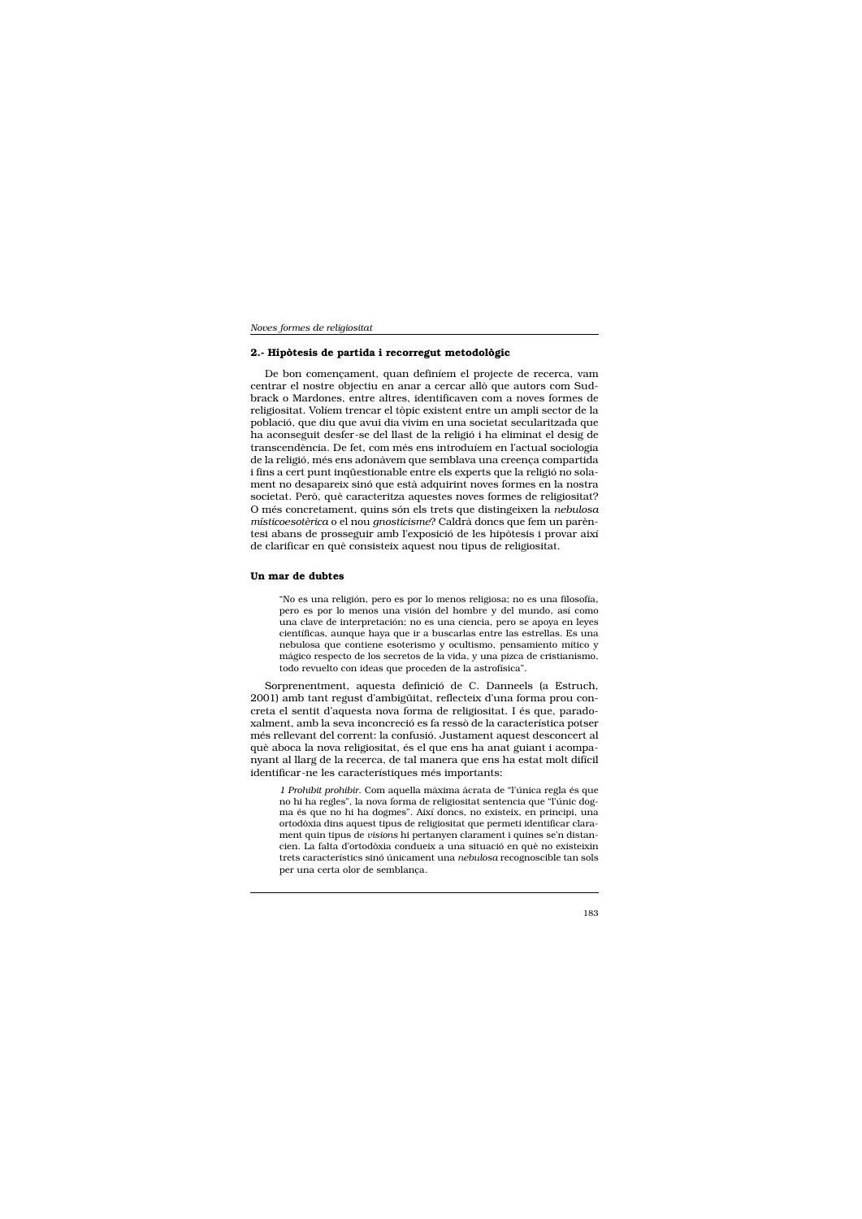#### 2.- Hipòtesis de partida i recorregut metodològic

De bon començament, quan definíem el projecte de recerca, vam centrar el nostre objectiu en anar a cercar allò que autors com Sudbrack o Mardones, entre altres, identificaven com a noves formes de religiositat. Volíem trencar el tòpic existent entre un ampli sector de la població, que diu que avui dia vivim en una societat secularitzada que ha aconseguit desfer-se del llast de la religió i ha eliminat el desig de transcendència. De fet, com més ens introduíem en l'actual sociologia de la religió, més ens adonàvem que semblava una creença compartida i fins a cert punt inquestionable entre els experts que la religió no solament no desapareix sinó que està adquirint noves formes en la nostra societat. Però, què caracteritza aquestes noves formes de religiositat? O més concretament, quins són els trets que distingeixen la nebulosa místicoesotèrica o el nou gnosticisme? Caldrà doncs que fem un parèntesi abans de prosseguir amb l'exposició de les hipòtesis i provar així de clarificar en què consisteix aquest nou tipus de religiositat.

#### Un mar de dubtes

"No es una religión, pero es por lo menos religiosa; no es una filosofía, pero es por lo menos una visión del hombre y del mundo, así como una clave de interpretación; no es una ciencia, pero se apoya en leyes científicas, aunque haya que ir a buscarlas entre las estrellas. Es una nebulosa que contiene esoterismo y ocultismo, pensamiento mítico y mágico respecto de los secretos de la vida, y una pizca de cristianismo, todo revuelto con ideas que proceden de la astrofísica".

Sorprenentment, aquesta definició de C. Danneels (a Estruch, 2001) amb tant regust d'ambigüitat, reflecteix d'una forma prou concreta el sentit d'aquesta nova forma de religiositat. I és que, paradoxalment, amb la seva inconcreció es fa ressò de la característica potser més rellevant del corrent: la confusió. Justament aquest desconcert al què aboca la nova religiositat, és el que ens ha anat guiant i acompanyant al llarg de la recerca, de tal manera que ens ha estat molt difícil identificar-ne les característiques més importants:

1 Prohibit prohibir. Com aquella màxima àcrata de "l'única regla és que no hi ha regles", la nova forma de religiositat sentencia que "l'únic dogma és que no hi ha dogmes". Així doncs, no existeix, en principi, una ortodòxia dins aquest tipus de religiositat que permeti identificar clarament quin tipus de visions hi pertanyen clarament i quines se'n distancien. La falta d'ortodòxia condueix a una situació en què no existeixin trets característics sinó únicament una nebulosa recognoscible tan sols per una certa olor de semblança.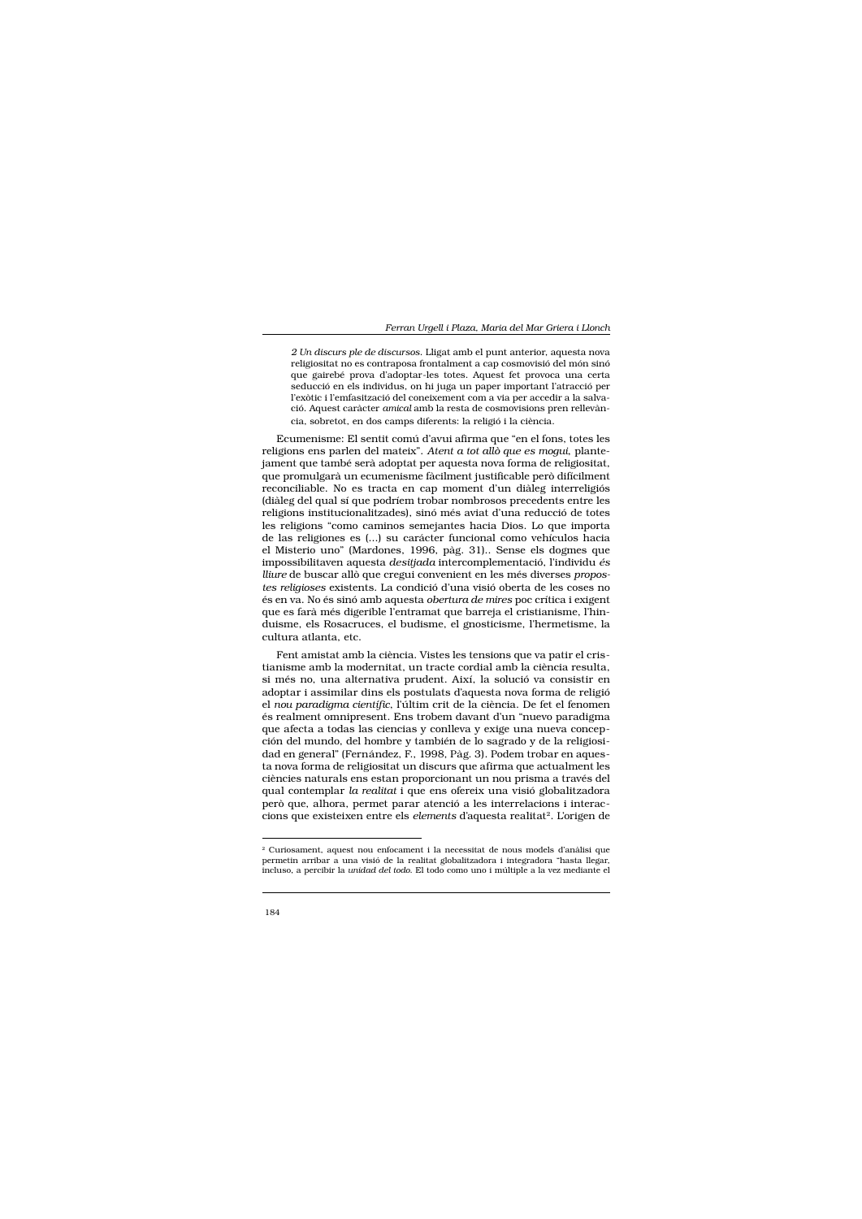2 Un discurs ple de discursos. Lligat amb el punt anterior, aquesta nova religiositat no es contraposa frontalment a cap cosmovisió del món sinó que gairebé prova d'adoptar-les totes. Aquest fet provoca una certa seducció en els individus, on hi juga un paper important l'atracció per l'exòtic i l'emfasització del coneixement com a via per accedir a la salvació. Aquest caràcter amical amb la resta de cosmovisions pren rellevància, sobretot, en dos camps diferents: la religió i la ciència.

Ecumenisme: El sentit comú d'avui afirma que "en el fons, totes les religions ens parlen del mateix". Atent a tot allò que es mogui, plantejament que també serà adoptat per aquesta nova forma de religiositat, que promulgarà un ecumenisme fàcilment justificable però difícilment reconciliable. No es tracta en cap moment d'un diàleg interreligiós (diàleg del qual sí que podríem trobar nombrosos precedents entre les religions institucionalitzades), sinó més aviat d'una reducció de totes les religions "como caminos semejantes hacia Dios. Lo que importa de las religiones es (...) su carácter funcional como vehículos hacia el Misterio uno" (Mardones, 1996, pàg. 31).. Sense els dogmes que impossibilitaven aquesta desitjada intercomplementació, l'individu és lliure de buscar allò que cregui convenient en les més diverses propostes religioses existents. La condició d'una visió oberta de les coses no és en va. No és sinó amb aquesta obertura de mires poc crítica i exigent que es farà més digerible l'entramat que barreja el cristianisme, l'hinduisme, els Rosacruces, el budisme, el gnosticisme, l'hermetisme, la cultura atlanta, etc.

Fent amistat amb la ciència. Vistes les tensions que va patir el cristianisme amb la modernitat, un tracte cordial amb la ciència resulta, si més no, una alternativa prudent. Així, la solució va consistir en adoptar i assimilar dins els postulats d'aquesta nova forma de religió el nou paradigma científic, l'últim crit de la ciència. De fet el fenomen és realment omnipresent. Ens trobem davant d'un "nuevo paradigma que afecta a todas las ciencias y conlleva y exige una nueva concepción del mundo, del hombre y también de lo sagrado y de la religiosidad en general" (Fernández, F., 1998, Pàg. 3). Podem trobar en aquesta nova forma de religiositat un discurs que afirma que actualment les ciències naturals ens estan proporcionant un nou prisma a través del qual contemplar la realitat i que ens ofereix una visió globalitzadora però que, alhora, permet parar atenció a les interrelacions i interaccions que existeixen entre els *elements* d'aquesta realitat<sup>2</sup>. L'origen de

<sup>&</sup>lt;sup>2</sup> Curiosament, aquest nou enfocament i la necessitat de nous models d'anàlisi que permetin arribar a una visió de la realitat globalitzadora i integradora "hasta llegar, incluso, a percibir la unidad del todo. El todo como uno i múltiple a la vez mediante el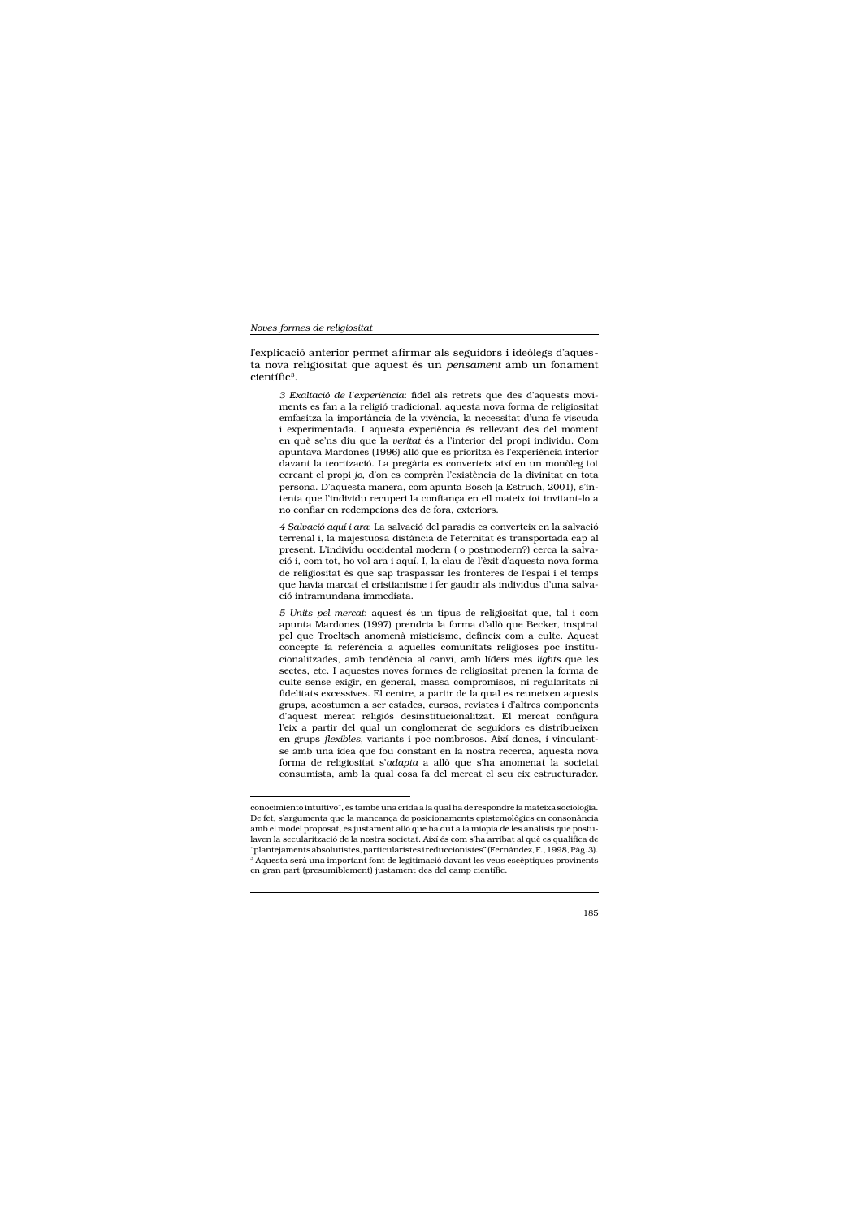Noves formes de religiositat

l'explicació anterior permet afirmar als seguidors i ideòlegs d'aquesta nova religiositat que aquest és un pensament amb un fonament científic<sup>3</sup>.

3 Exaltació de l'experiència: fidel als retrets que des d'aquests moviments es fan a la religió tradicional, aquesta nova forma de religiositat emfasitza la importància de la vivència, la necessitat d'una fe viscuda i experimentada. I aquesta experiència és rellevant des del moment en què se'ns diu que la veritat és a l'interior del propi individu. Com apuntava Mardones (1996) allò que es prioritza és l'experiència interior davant la teorització. La pregària es converteix així en un monòleg tot cercant el propi jo, d'on es comprèn l'existència de la divinitat en tota persona. D'aquesta manera, com apunta Bosch (a Estruch, 2001), s'intenta que l'individu recuperi la confianca en ell mateix tot invitant-lo a no confiar en redempcions des de fora, exteriors.

4 Salvació aquí i ara: La salvació del paradís es converteix en la salvació terrenal i, la majestuosa distància de l'eternitat és transportada cap al present. L'individu occidental modern (o postmodern?) cerca la salvació i, com tot, ho vol ara i aquí. I, la clau de l'èxit d'aquesta nova forma de religiositat és que sap traspassar les fronteres de l'espai i el temps que havia marcat el cristianisme i fer gaudir als individus d'una salvació intramundana immediata.

5 Units pel mercat: aquest és un tipus de religiositat que, tal i com apunta Mardones (1997) prendria la forma d'allò que Becker, inspirat pel que Troeltsch anomenà misticisme, defineix com a culte. Aquest concepte fa referència a aquelles comunitats religioses poc institucionalitzades, amb tendència al canvi, amb líders més lights que les sectes, etc. I aquestes noves formes de religiositat prenen la forma de culte sense exigir, en general, massa compromisos, ni regularitats ni fidelitats excessives. El centre, a partir de la qual es reuneixen aquests grups, acostumen a ser estades, cursos, revistes i d'altres components d'aquest mercat religiós desinstitucionalitzat. El mercat configura l'eix a partir del qual un conglomerat de seguidors es distribueixen en grups flexibles, variants i poc nombrosos. Així doncs, i vinculantse amb una idea que fou constant en la nostra recerca, aquesta nova forma de religiositat s'adapta a allò que s'ha anomenat la societat consumista, amb la qual cosa fa del mercat el seu eix estructurador.

conocimiento intuitivo", és també una crida a la qual ha de respondre la mateixa sociologia. De fet, s'argumenta que la mancança de posicionaments epistemològics en consonància amb el model proposat, és justament allò que ha dut a la miopia de les anàlisis que postulaven la secularització de la nostra societat. Així és com s'ha arribat al què es qualifica de "plantejaments absolutistes, particularistes ireduccionistes" (Fernández, F., 1998, Pàg. 3). <sup>3</sup> Aquesta serà una important font de legitimació davant les veus escèptiques provinents en gran part (presumiblement) justament des del camp científic.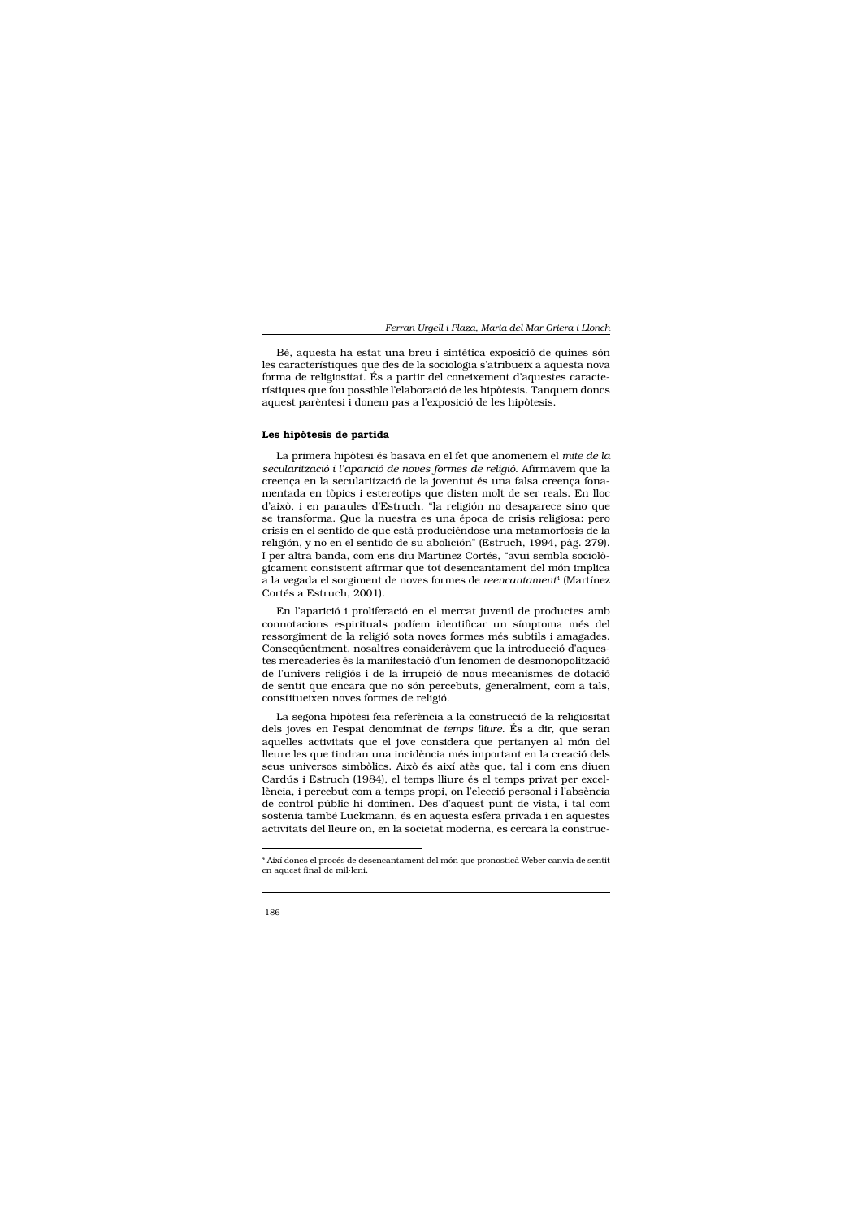Bé, aquesta ha estat una breu i sintètica exposició de quines són les característiques que des de la sociologia s'atribueix a aquesta nova forma de religiositat. És a partir del coneixement d'aquestes característiques que fou possible l'elaboració de les hipòtesis. Tanquem doncs aquest parèntesi i donem pas a l'exposició de les hipòtesis.

# Les hipòtesis de partida

La primera hipòtesi és basava en el fet que anomenem el mite de la secularització i l'aparició de noves formes de religió. Afirmàvem que la creença en la secularització de la joventut és una falsa creença fonamentada en tòpics i estereotips que disten molt de ser reals. En lloc d'això, i en paraules d'Estruch, "la religión no desaparece sino que se transforma. Que la nuestra es una época de crisis religiosa: pero crisis en el sentido de que está produciéndose una metamorfosis de la religión, y no en el sentido de su abolición" (Estruch, 1994, pàg. 279). I per altra banda, com ens diu Martínez Cortés, "avui sembla sociològicament consistent afirmar que tot desencantament del món implica a la vegada el sorgiment de noves formes de reencantament<sup>4</sup> (Martínez Cortés a Estruch, 2001).

En l'aparició i proliferació en el mercat juvenil de productes amb connotacions espirituals podíem identificar un símptoma més del ressorgiment de la religió sota noves formes més subtils i amagades. Conseqüentment, nosaltres consideràvem que la introducció d'aquestes mercaderies és la manifestació d'un fenomen de desmonopolització de l'univers religiós i de la irrupció de nous mecanismes de dotació de sentit que encara que no són percebuts, generalment, com a tals, constitueixen noves formes de religió.

La segona hipòtesi feia referència a la construcció de la religiositat dels joves en l'espai denominat de temps lliure. És a dir, que seran aquelles activitats que el jove considera que pertanyen al món del lleure les que tindran una incidència més important en la creació dels seus universos simbòlics. Això és així atès que, tal i com ens diuen Cardús i Estruch (1984), el temps lliure és el temps privat per excellència, i percebut com a temps propi, on l'elecció personal i l'absència de control públic hi dominen. Des d'aquest punt de vista, i tal com sostenia també Luckmann, és en aquesta esfera privada i en aquestes activitats del lleure on, en la societat moderna, es cercarà la construc-

<sup>&</sup>lt;sup>4</sup> Així doncs el procés de desencantament del món que pronosticà Weber canvia de sentit en aquest final de mil·leni.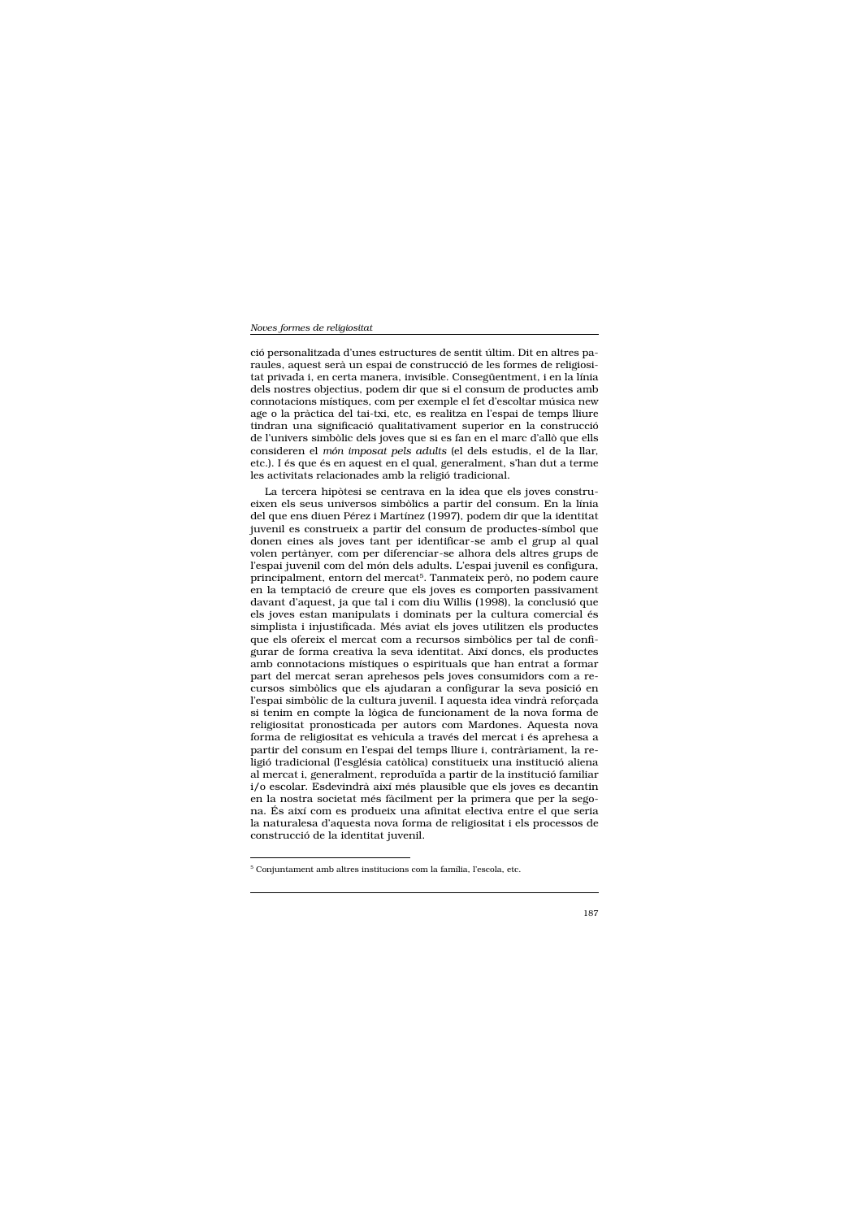ció personalitzada d'unes estructures de sentit últim. Dit en altres paraules, aquest serà un espai de construcció de les formes de religiositat privada i, en certa manera, invisible. Consegüentment, i en la línia dels nostres objectius, podem dir que si el consum de productes amb connotacions místiques, com per exemple el fet d'escoltar música new age o la pràctica del tai-txi, etc, es realitza en l'espai de temps lliure tindran una significació qualitativament superior en la construcció de l'univers simbòlic dels joves que si es fan en el marc d'allò que ells consideren el món imposat pels adults (el dels estudis, el de la llar, etc.). I és que és en aquest en el qual, generalment, s'han dut a terme les activitats relacionades amb la religió tradicional.

La tercera hipòtesi se centrava en la idea que els joves construeixen els seus universos simbòlics a partir del consum. En la línia del que ens diuen Pérez i Martínez (1997), podem dir que la identitat juvenil es construeix a partir del consum de productes-símbol que donen eines als joves tant per identificar-se amb el grup al qual volen pertànyer, com per diferenciar-se alhora dels altres grups de l'espai juvenil com del món dels adults. L'espai juvenil es configura, principalment, entorn del mercat<sup>5</sup>. Tanmateix però, no podem caure en la temptació de creure que els joves es comporten passivament davant d'aquest, ja que tal i com diu Willis (1998), la conclusió que els joves estan manipulats i dominats per la cultura comercial és simplista i injustificada. Més aviat els joves utilitzen els productes que els ofereix el mercat com a recursos simbòlics per tal de configurar de forma creativa la seva identitat. Així doncs, els productes amb connotacions místiques o espirituals que han entrat a formar part del mercat seran aprehesos pels joves consumidors com a recursos simbòlics que els ajudaran a configurar la seva posició en l'espai simbòlic de la cultura juvenil. I aquesta idea vindrà reforçada si tenim en compte la lògica de funcionament de la nova forma de religiositat pronosticada per autors com Mardones. Aquesta nova forma de religiositat es vehicula a través del mercat i és aprehesa a partir del consum en l'espai del temps lliure i, contràriament, la religió tradicional (l'església catòlica) constitueix una institució aliena al mercat i, generalment, reproduïda a partir de la institució familiar i/o escolar. Esdevindrà així més plausible que els joves es decantin en la nostra societat més fàcilment per la primera que per la segona. És així com es produeix una afinitat electiva entre el que seria la naturalesa d'aquesta nova forma de religiositat i els processos de construcció de la identitat juvenil.

<sup>&</sup>lt;sup>5</sup> Conjuntament amb altres institucions com la família, l'escola, etc.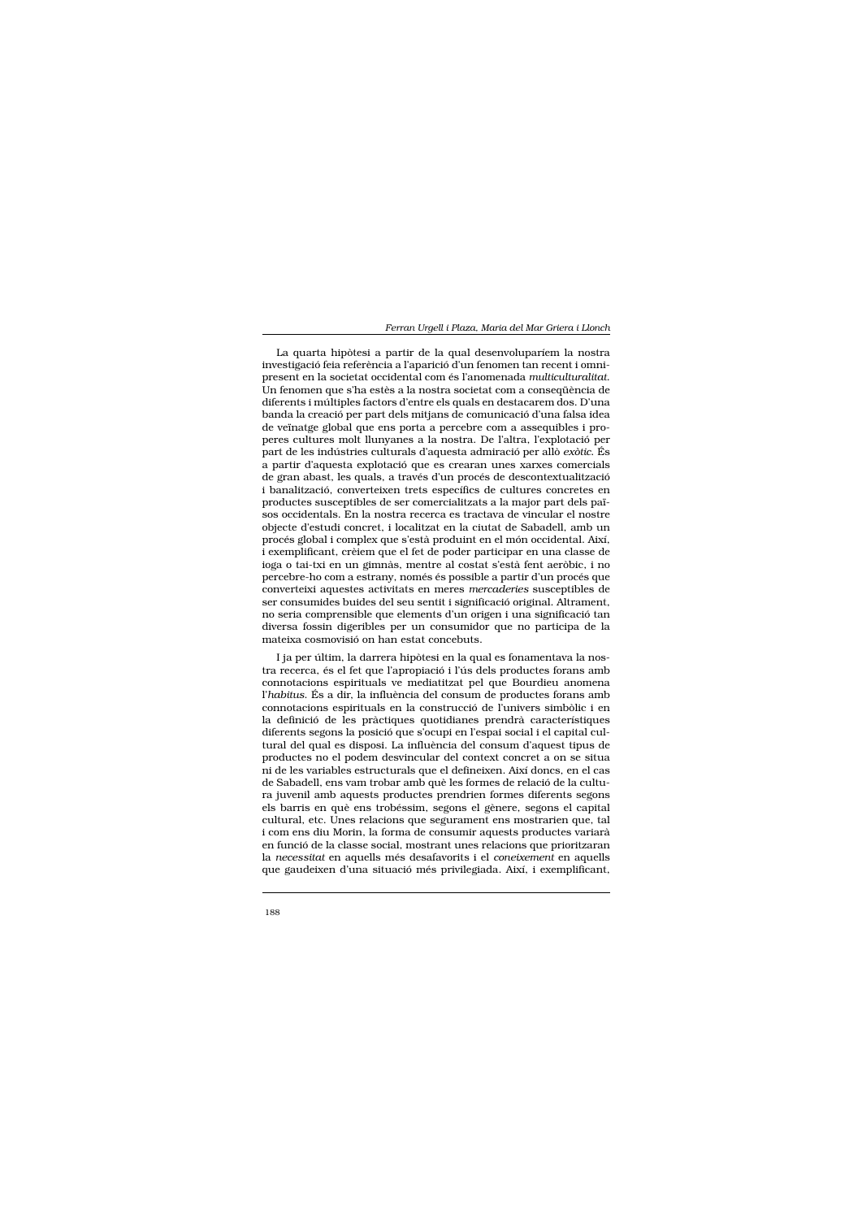La quarta hipòtesi a partir de la qual desenvoluparíem la nostra investigació feia referència a l'aparició d'un fenomen tan recent i omnipresent en la societat occidental com és l'anomenada multiculturalitat. Un fenomen que s'ha estès a la nostra societat com a consequència de diferents i múltiples factors d'entre els quals en destacarem dos. D'una banda la creació per part dels mitjans de comunicació d'una falsa idea de veïnatge global que ens porta a percebre com a assequibles i properes cultures molt llunyanes a la nostra. De l'altra, l'explotació per part de les indústries culturals d'aquesta admiració per allò exòtic. És a partir d'aquesta explotació que es crearan unes xarxes comercials de gran abast, les quals, a través d'un procés de descontextualització i banalització, converteixen trets específics de cultures concretes en productes susceptibles de ser comercialitzats a la major part dels països occidentals. En la nostra recerca es tractava de vincular el nostre objecte d'estudi concret, i localitzat en la ciutat de Sabadell, amb un procés global i complex que s'està produint en el món occidental. Així, i exemplificant, crèiem que el fet de poder participar en una classe de ioga o tai-txi en un gimnàs, mentre al costat s'està fent aeròbic, i no percebre-ho com a estrany, només és possible a partir d'un procés que converteixi aquestes activitats en meres mercaderies susceptibles de ser consumides buides del seu sentit i significació original. Altrament, no seria comprensible que elements d'un origen i una significació tan diversa fossin digeribles per un consumidor que no participa de la mateixa cosmovisió on han estat concebuts.

I ja per últim, la darrera hipòtesi en la qual es fonamentava la nostra recerca, és el fet que l'apropiació i l'ús dels productes forans amb connotacions espirituals ve mediatitzat pel que Bourdieu anomena l'habitus. És a dir, la influència del consum de productes forans amb connotacions espirituals en la construcció de l'univers simbòlic i en la definició de les pràctiques quotidianes prendrà característiques diferents segons la posició que s'ocupi en l'espai social i el capital cultural del qual es disposi. La influència del consum d'aquest tipus de productes no el podem desvincular del context concret a on se situa ni de les variables estructurals que el defineixen. Així doncs, en el cas de Sabadell, ens vam trobar amb què les formes de relació de la cultura juvenil amb aquests productes prendrien formes diferents segons els barris en què ens trobéssim, segons el gènere, segons el capital cultural, etc. Unes relacions que segurament ens mostrarien que, tal i com ens diu Morin, la forma de consumir aquests productes variarà en funció de la classe social, mostrant unes relacions que prioritzaran la necessitat en aquells més desafavorits i el coneixement en aquells que gaudeixen d'una situació més privilegiada. Així, i exemplificant,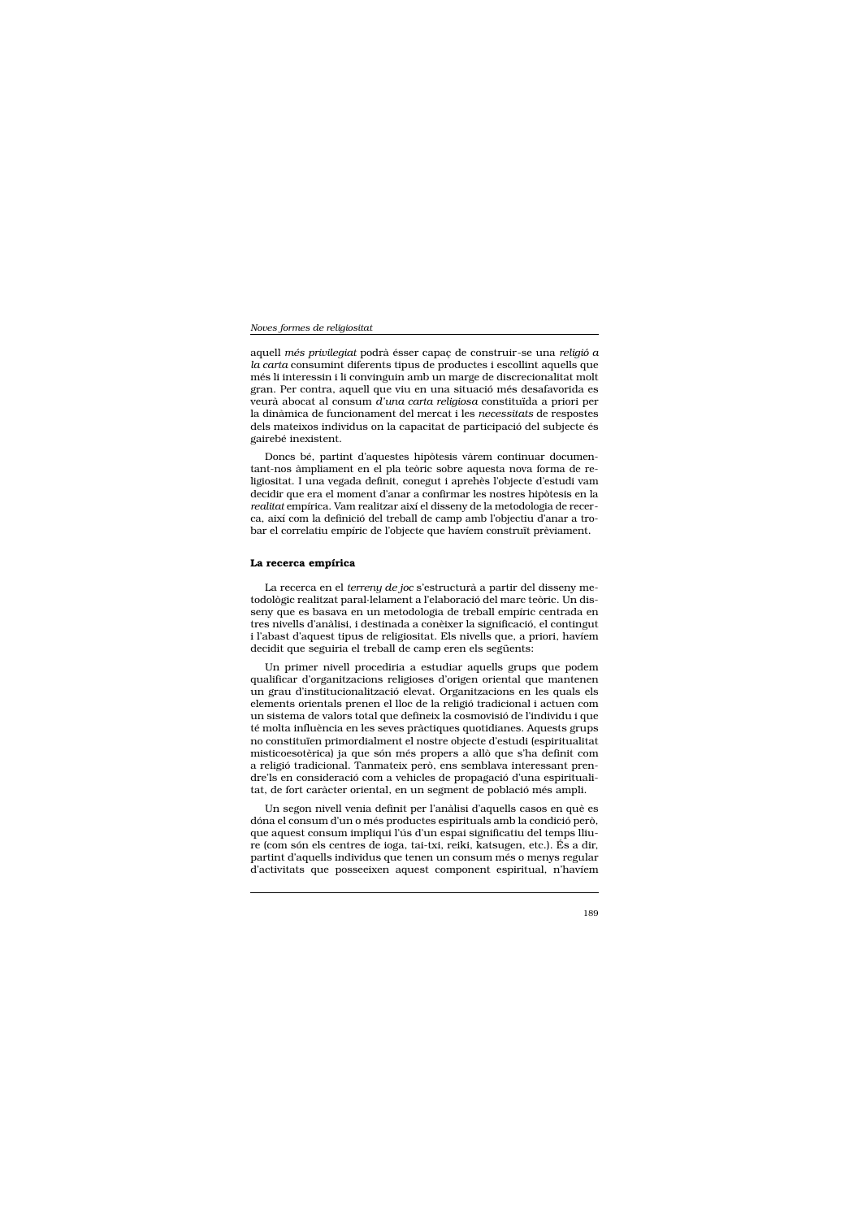aquell més privilegiat podrà ésser capaç de construir-se una religió a la carta consumint diferents tipus de productes i escollint aquells que més li interessin i li convinguin amb un marge de discrecionalitat molt gran. Per contra, aquell que viu en una situació més desafavorida es veurà abocat al consum d'una carta religiosa constituïda a priori per la dinàmica de funcionament del mercat i les necessitats de respostes dels mateixos individus on la capacitat de participació del subjecte és gairebé inexistent.

Doncs bé, partint d'aquestes hipòtesis vàrem continuar documentant-nos àmpliament en el pla teòric sobre aquesta nova forma de religiositat. I una vegada definit, conegut i aprehès l'objecte d'estudi vam decidir que era el moment d'anar a confirmar les nostres hipòtesis en la realitat empírica. Vam realitzar així el disseny de la metodologia de recerca, així com la definició del treball de camp amb l'objectiu d'anar a trobar el correlatiu empíric de l'objecte que havíem construït prèviament.

# La recerca empírica

La recerca en el terreny de joc s'estructurà a partir del disseny metodològic realitzat paral·lelament a l'elaboració del marc teòric. Un disseny que es basava en un metodologia de treball empíric centrada en tres nivells d'anàlisi, i destinada a conèixer la significació, el contingut i l'abast d'aquest tipus de religiositat. Els nivells que, a priori, havíem decidit que seguiria el treball de camp eren els següents:

Un primer nivell procediria a estudiar aquells grups que podem qualificar d'organitzacions religioses d'origen oriental que mantenen un grau d'institucionalització elevat. Organitzacions en les quals els elements orientals prenen el lloc de la religió tradicional i actuen com un sistema de valors total que defineix la cosmovisió de l'individu i que té molta influència en les seves pràctiques quotidianes. Aquests grups no constituïen primordialment el nostre objecte d'estudi (espiritualitat misticoesotèrica) ja que són més propers a allò que s'ha definit com a religió tradicional. Tanmateix però, ens semblava interessant prendre'ls en consideració com a vehicles de propagació d'una espiritualitat, de fort caràcter oriental, en un segment de població més ampli.

Un segon nivell venia definit per l'anàlisi d'aquells casos en què es dóna el consum d'un o més productes espirituals amb la condició però, que aquest consum impliqui l'ús d'un espai significatiu del temps lliure (com són els centres de ioga, tai-txi, reiki, katsugen, etc.). És a dir, partint d'aquells individus que tenen un consum més o menys regular d'activitats que posseeixen aquest component espiritual, n'haviem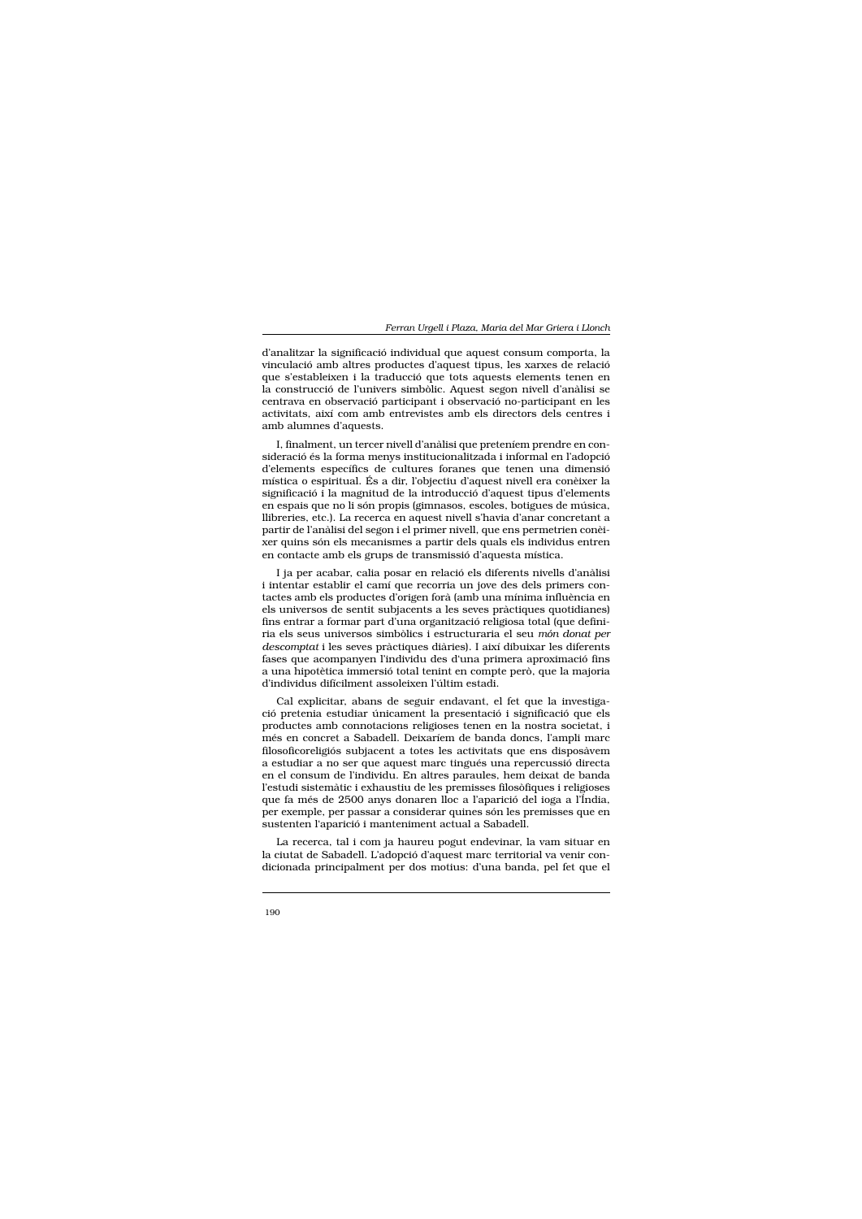d'analitzar la significació individual que aquest consum comporta, la vinculació amb altres productes d'aquest tipus, les xarxes de relació que s'estableixen i la traducció que tots aquests elements tenen en la construcció de l'univers simbòlic. Aquest segon nivell d'anàlisi se centrava en observació participant i observació no-participant en les activitats, així com amb entrevistes amb els directors dels centres i amb alumnes d'aquests.

I, finalment, un tercer nivell d'anàlisi que preteniem prendre en consideració és la forma menys institucionalitzada i informal en l'adopció d'elements específics de cultures foranes que tenen una dimensió mística o espiritual. És a dir, l'objectiu d'aquest nivell era conèixer la significació i la magnitud de la introducció d'aquest tipus d'elements en espais que no li són propis (gimnasos, escoles, botigues de música, llibreries, etc.). La recerca en aquest nivell s'havia d'anar concretant a partir de l'anàlisi del segon i el primer nivell, que ens permetrien conèixer quins són els mecanismes a partir dels quals els individus entren en contacte amb els grups de transmissió d'aquesta mística.

I ja per acabar, calia posar en relació els diferents nivells d'anàlisi i intentar establir el camí que recorria un jove des dels primers contactes amb els productes d'origen forà (amb una mínima influència en els universos de sentit subjacents a les seves pràctiques quotidianes) fins entrar a formar part d'una organització religiosa total (que definiria els seus universos simbòlics i estructuraria el seu món donat per descomptat i les seves pràctiques diàries). I així dibuixar les diferents fases que acompanyen l'individu des d'una primera aproximació fins a una hipotètica immersió total tenint en compte però, que la majoria d'individus difícilment assoleixen l'últim estadi.

Cal explicitar, abans de seguir endavant, el fet que la investigació pretenia estudiar únicament la presentació i significació que els productes amb connotacions religioses tenen en la nostra societat, i més en concret a Sabadell. Deixaríem de banda doncs, l'ampli marc filosoficoreligiós subjacent a totes les activitats que ens disposàvem a estudiar a no ser que aquest marc tingués una repercussió directa en el consum de l'individu. En altres paraules, hem deixat de banda l'estudi sistemàtic i exhaustiu de les premisses filosòfiques i religioses que fa més de 2500 anys donaren lloc a l'aparició del ioga a l'Índia, per exemple, per passar a considerar quines són les premisses que en sustenten l'aparició i manteniment actual a Sabadell.

La recerca, tal i com ja haureu pogut endevinar, la vam situar en la ciutat de Sabadell. L'adopció d'aquest marc territorial va venir condicionada principalment per dos motius: d'una banda, pel fet que el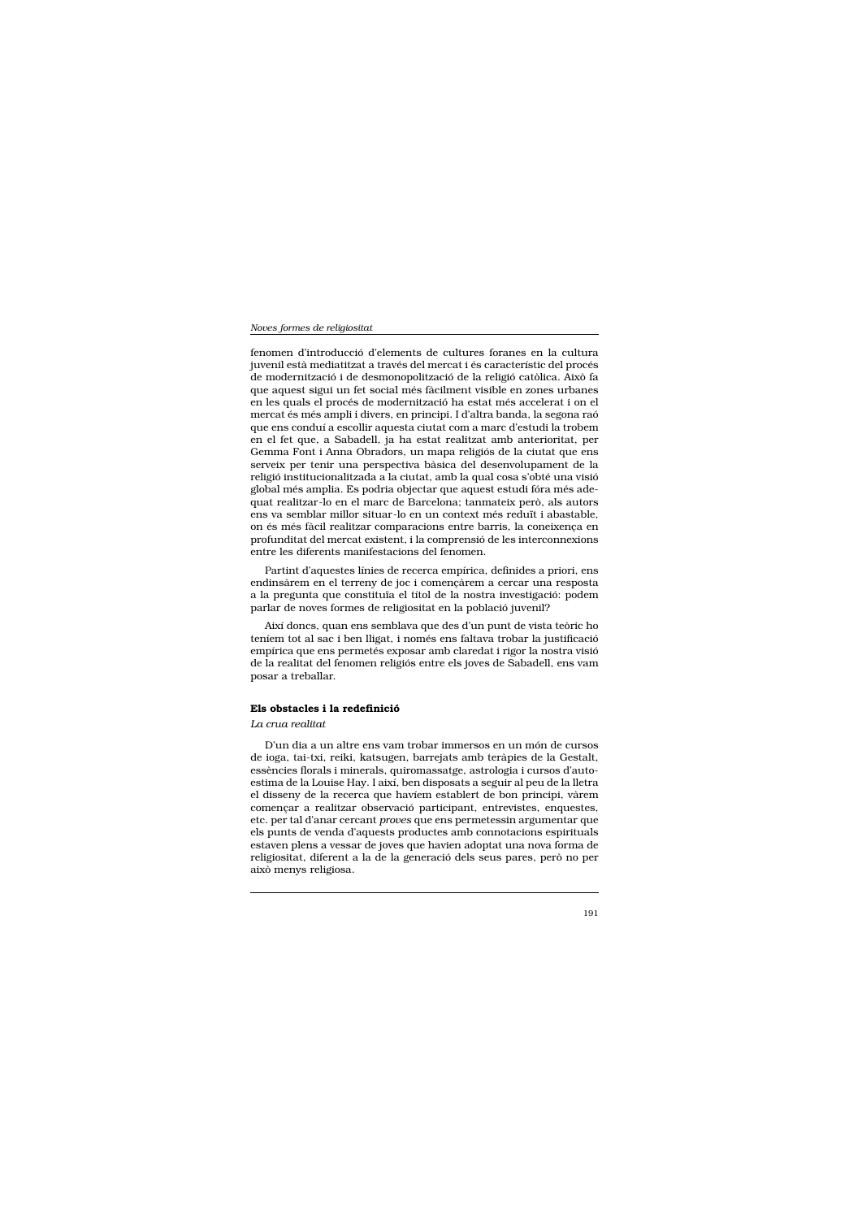fenomen d'introducció d'elements de cultures foranes en la cultura juvenil està mediatitzat a través del mercat i és característic del procés de modernització i de desmonopolització de la religió catòlica. Això fa que aquest sigui un fet social més fàcilment visible en zones urbanes en les quals el procés de modernització ha estat més accelerat i on el mercat és més ampli i divers, en principi. I d'altra banda, la segona raó que ens conduí a escollir aquesta ciutat com a marc d'estudi la trobem en el fet que, a Sabadell, ja ha estat realitzat amb anterioritat, per Gemma Font i Anna Obradors, un mapa religiós de la ciutat que ens serveix per tenir una perspectiva bàsica del desenvolupament de la religió institucionalitzada a la ciutat, amb la qual cosa s'obté una visió global més amplia. Es podria objectar que aquest estudi fóra més adequat realitzar-lo en el marc de Barcelona; tanmateix però, als autors ens va semblar millor situar-lo en un context més reduït i abastable, on és més fàcil realitzar comparacions entre barris, la coneixença en profunditat del mercat existent, i la comprensió de les interconnexions entre les diferents manifestacions del fenomen.

Partint d'aquestes línies de recerca empírica, definides a priori, ens endinsàrem en el terreny de joc i començàrem a cercar una resposta a la pregunta que constituïa el títol de la nostra investigació: podem parlar de noves formes de religiositat en la població juvenil?

Així doncs, quan ens semblava que des d'un punt de vista teòric ho teníem tot al sac i ben lligat, i només ens faltava trobar la justificació empírica que ens permetés exposar amb claredat i rigor la nostra visió de la realitat del fenomen religiós entre els joves de Sabadell, ens vam posar a treballar.

#### Els obstacles i la redefinició

# La crua realitat

D'un dia a un altre ens vam trobar immersos en un món de cursos de ioga, tai-txi, reiki, katsugen, barrejats amb teràpies de la Gestalt, essències florals i minerals, quiromassatge, astrologia i cursos d'autoestima de la Louise Hay. I així, ben disposats a seguir al peu de la lletra el disseny de la recerca que havíem establert de bon principi, vàrem començar a realitzar observació participant, entrevistes, enquestes, etc. per tal d'anar cercant proves que ens permetessin argumentar que els punts de venda d'aquests productes amb connotacions espirituals estaven plens a vessar de joves que havien adoptat una nova forma de religiositat, diferent a la de la generació dels seus pares, però no per això menys religiosa.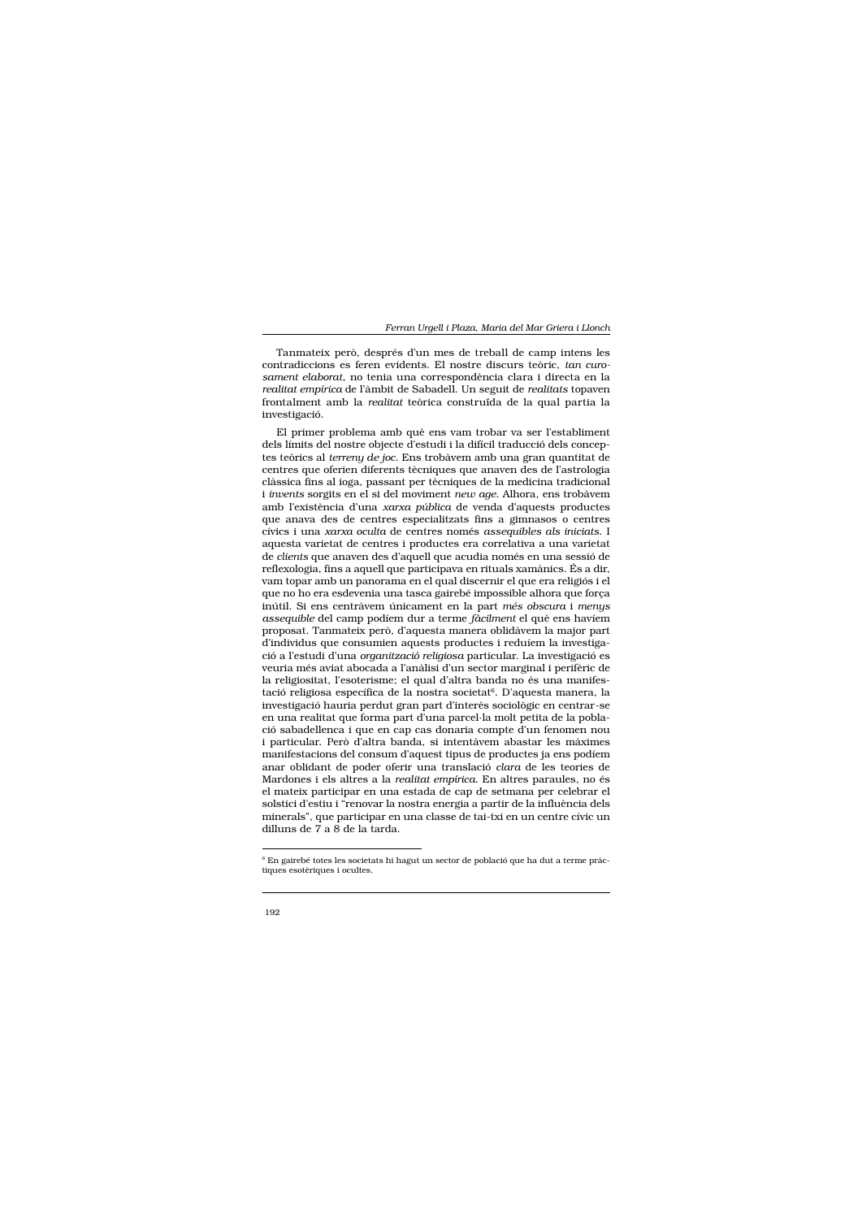Tanmateix però, després d'un mes de treball de camp intens les contradiccions es feren evidents. El nostre discurs teòric, tan curosament elaborat, no tenia una correspondència clara i directa en la realitat empírica de l'àmbit de Sabadell. Un seguit de realitats topaven frontalment amb la realitat teòrica construïda de la qual partia la investigació.

El primer problema amb què ens vam trobar va ser l'establiment dels límits del nostre objecte d'estudi i la difícil traducció dels conceptes teòrics al terreny de joc. Ens trobàvem amb una gran quantitat de centres que oferien diferents tècniques que anaven des de l'astrologia clàssica fins al ioga, passant per tècniques de la medicina tradicional *i invents* sorgits en el si del moviment new age. Alhora, ens trobàvem amb l'existència d'una xarxa pública de venda d'aquests productes que anava des de centres especialitzats fins a gimnasos o centres cívics i una *xarxa oculta* de centres només *asseguibles als iniciats*. I aquesta varietat de centres i productes era correlativa a una varietat de clients que anaven des d'aquell que acudia només en una sessió de reflexologia, fins a aquell que participava en rituals xamànics. És a dir, vam topar amb un panorama en el qual discernir el que era religiós i el que no ho era esdevenia una tasca gairebé impossible alhora que força inútil. Si ens centràvem únicament en la part més obscura i menys assequible del camp podíem dur a terme fàcilment el què ens haviem proposat. Tanmateix però, d'aquesta manera oblidàvem la major part d'individus que consumien aquests productes i reduíem la investigació a l'estudi d'una organització religiosa particular. La investigació es veuria més aviat abocada a l'anàlisi d'un sector marginal i perifèric de la religiositat, l'esoterisme; el qual d'altra banda no és una manifestació religiosa específica de la nostra societat<sup>6</sup>. D'aquesta manera, la investigació hauria perdut gran part d'interès sociològic en centrar-se en una realitat que forma part d'una parcel·la molt petita de la població sabadellenca i que en cap cas donaria compte d'un fenomen nou i particular. Però d'altra banda, si intentàvem abastar les màximes manifestacions del consum d'aquest tipus de productes ja ens podíem anar oblidant de poder oferir una translació clara de les teories de Mardones i els altres a la realitat empírica. En altres paraules, no és el mateix participar en una estada de cap de setmana per celebrar el solstici d'estiu i "renovar la nostra energia a partir de la influència dels minerals", que participar en una classe de tai-txi en un centre cívic un dilluns de 7 a 8 de la tarda.

<sup>&</sup>lt;sup>6</sup> En gairebé totes les societats hi hagut un sector de població que ha dut a terme pràctiques esotèriques i ocultes.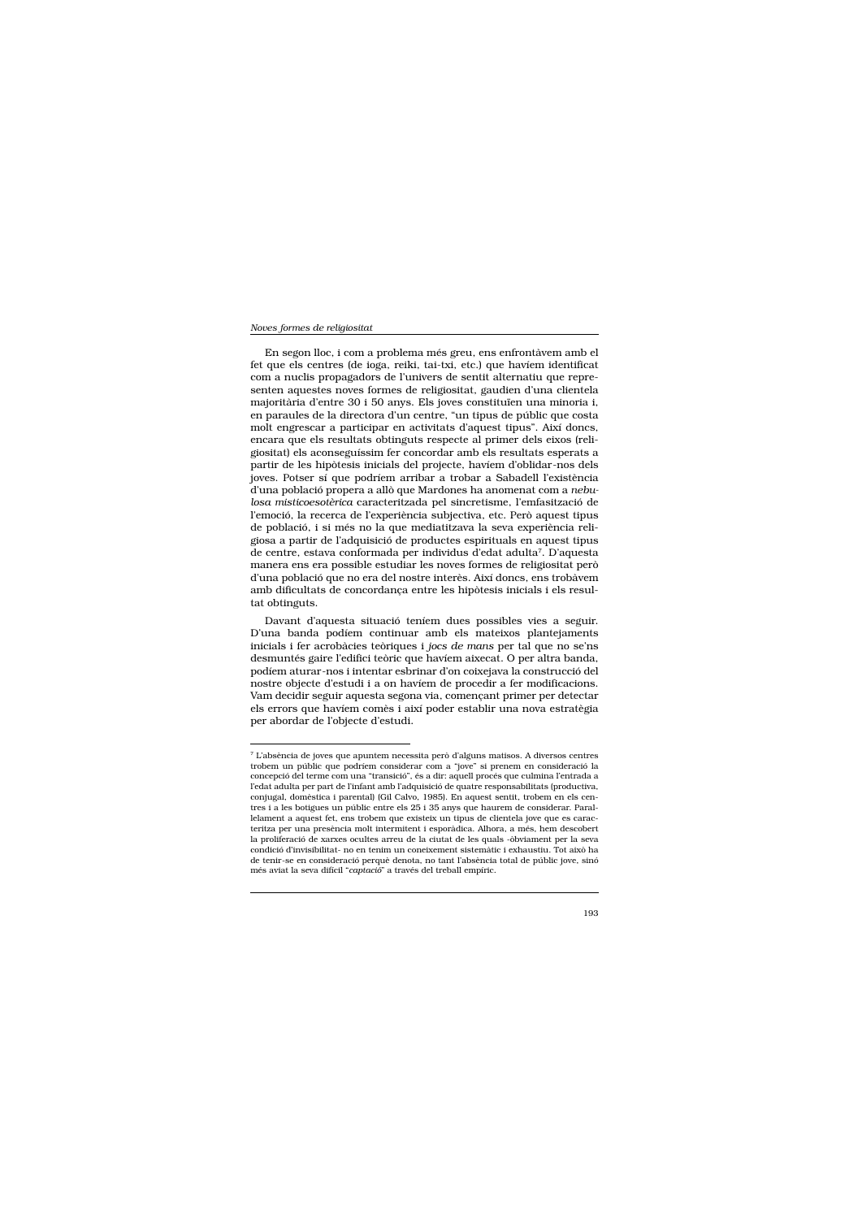En segon lloc, i com a problema més greu, ens enfrontàvem amb el fet que els centres (de ioga, reiki, tai-txi, etc.) que havíem identificat com a nuclis propagadors de l'univers de sentit alternatiu que representen aquestes noves formes de religiositat, gaudien d'una clientela majoritària d'entre 30 i 50 anys. Els joves constituïen una minoria i, en paraules de la directora d'un centre, "un tipus de públic que costa molt engrescar a participar en activitats d'aquest tipus". Així doncs, encara que els resultats obtinguts respecte al primer dels eixos (religiositat) els aconseguíssim fer concordar amb els resultats esperats a partir de les hipòtesis inicials del projecte, havíem d'oblidar-nos dels joves. Potser sí que podríem arribar a trobar a Sabadell l'existència d'una població propera a allò que Mardones ha anomenat com a nebulosa misticoesotèrica caracteritzada pel sincretisme, l'emfasització de l'emoció, la recerca de l'experiència subjectiva, etc. Però aquest tipus de població, i si més no la que mediatitzava la seva experiència religiosa a partir de l'adquisició de productes espirituals en aquest tipus de centre, estava conformada per individus d'edat adulta<sup>7</sup>. D'aquesta manera ens era possible estudiar les noves formes de religiositat però d'una població que no era del nostre interès. Així doncs, ens trobàvem amb dificultats de concordança entre les hipòtesis inicials i els resultat obtinguts.

Davant d'aquesta situació teníem dues possibles vies a seguir. D'una banda podíem continuar amb els mateixos plantejaments inicials i fer acrobàcies teòriques i jocs de mans per tal que no se'ns desmuntés gaire l'edifici teòric que havíem aixecat. O per altra banda, podíem aturar-nos i intentar esbrinar d'on coixejava la construcció del nostre objecte d'estudi i a on havíem de procedir a fer modificacions. Vam decidir seguir aquesta segona via, començant primer per detectar els errors que havíem comès i així poder establir una nova estratègia per abordar de l'objecte d'estudi.

<sup>7</sup> L'absència de joves que apuntem necessita però d'alguns matisos. A diversos centres trobem un públic que podríem considerar com a "jove" si prenem en consideració la concepció del terme com una "transició", és a dir: aquell procés que culmina l'entrada a l'edat adulta per part de l'infant amb l'adquisició de quatre responsabilitats (productiva, conjugal, domèstica i parental) (Gil Calvo, 1985). En aquest sentit, trobem en els centres i a les botigues un públic entre els 25 i 35 anys que haurem de considerar. Parallelament a aquest fet, ens trobem que existeix un tipus de clientela jove que es caracteritza per una presència molt intermitent i esporàdica. Alhora, a més, hem descobert la proliferació de xarxes ocultes arreu de la ciutat de les quals -òbviament per la seva condició d'invisibilitat- no en tenim un coneixement sistemàtic i exhaustiu. Tot això ha de tenir-se en consideració perquè denota, no tant l'absència total de públic jove, sinó més aviat la seva difícil "captació" a través del treball empíric.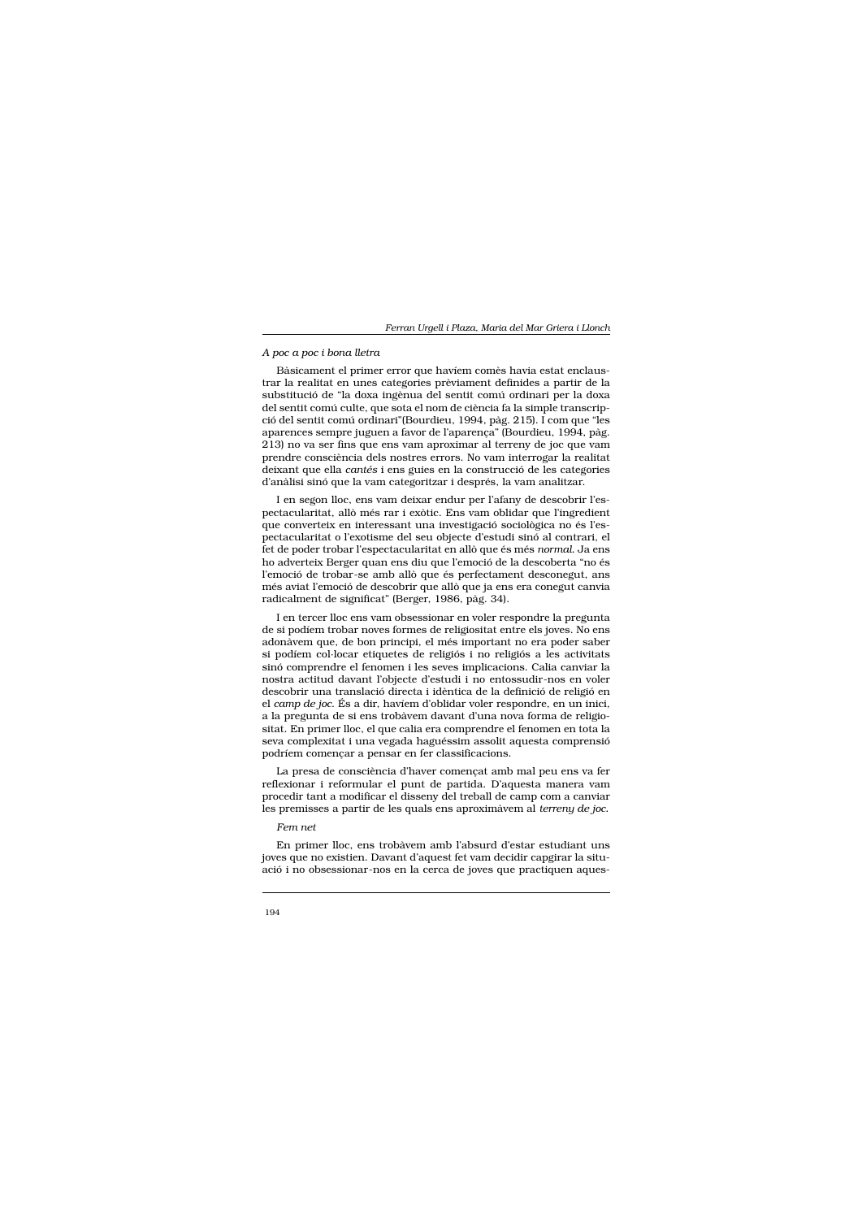#### A poc a poc i bona lletra

Bàsicament el primer error que havíem comès havia estat enclaustrar la realitat en unes categories prèviament definides a partir de la substitució de "la doxa ingènua del sentit comú ordinari per la doxa del sentit comú culte, que sota el nom de ciència fa la simple transcripció del sentit comú ordinari"(Bourdieu, 1994, pàg. 215). I com que "les aparences sempre juguen a favor de l'aparença" (Bourdieu, 1994, pàg. 213) no va ser fins que ens vam aproximar al terreny de joc que vam prendre consciència dels nostres errors. No vam interrogar la realitat deixant que ella cantés i ens guies en la construcció de les categories d'anàlisi sinó que la vam categoritzar i després, la vam analitzar.

I en segon lloc, ens vam deixar endur per l'afany de descobrir l'espectacularitat, allò més rar i exòtic. Ens vam oblidar que l'ingredient que converteix en interessant una investigació sociològica no és l'espectacularitat o l'exotisme del seu objecte d'estudi sinó al contrari, el fet de poder trobar l'espectacularitat en allò que és més normal. Ja ens ho adverteix Berger quan ens diu que l'emoció de la descoberta "no és l'emoció de trobar-se amb allò que és perfectament desconegut, ans més aviat l'emoció de descobrir que allò que ja ens era conegut canvia radicalment de significat" (Berger, 1986, pàg. 34).

I en tercer lloc ens vam obsessionar en voler respondre la pregunta de si podíem trobar noves formes de religiositat entre els joves. No ens adonàvem que, de bon principi, el més important no era poder saber si podíem col·locar etiquetes de religiós i no religiós a les activitats sinó comprendre el fenomen i les seves implicacions. Calia canviar la nostra actitud davant l'objecte d'estudi i no entossudir-nos en voler descobrir una translació directa i idèntica de la definició de religió en el camp de joc. És a dir, havíem d'oblidar voler respondre, en un inici, a la pregunta de si ens trobàvem davant d'una nova forma de religiositat. En primer lloc, el que calia era comprendre el fenomen en tota la seva complexitat i una vegada haguéssim assolit aquesta comprensió podríem començar a pensar en fer classificacions.

La presa de consciència d'haver començat amb mal peu ens va fer reflexionar i reformular el punt de partida. D'aquesta manera vam procedir tant a modificar el disseny del treball de camp com a canviar les premisses a partir de les quals ens aproximàvem al terreny de joc.

# Fem net

En primer lloc, ens trobàvem amb l'absurd d'estar estudiant uns joves que no existien. Davant d'aquest fet vam decidir capgirar la situació i no obsessionar-nos en la cerca de joves que practiquen aques-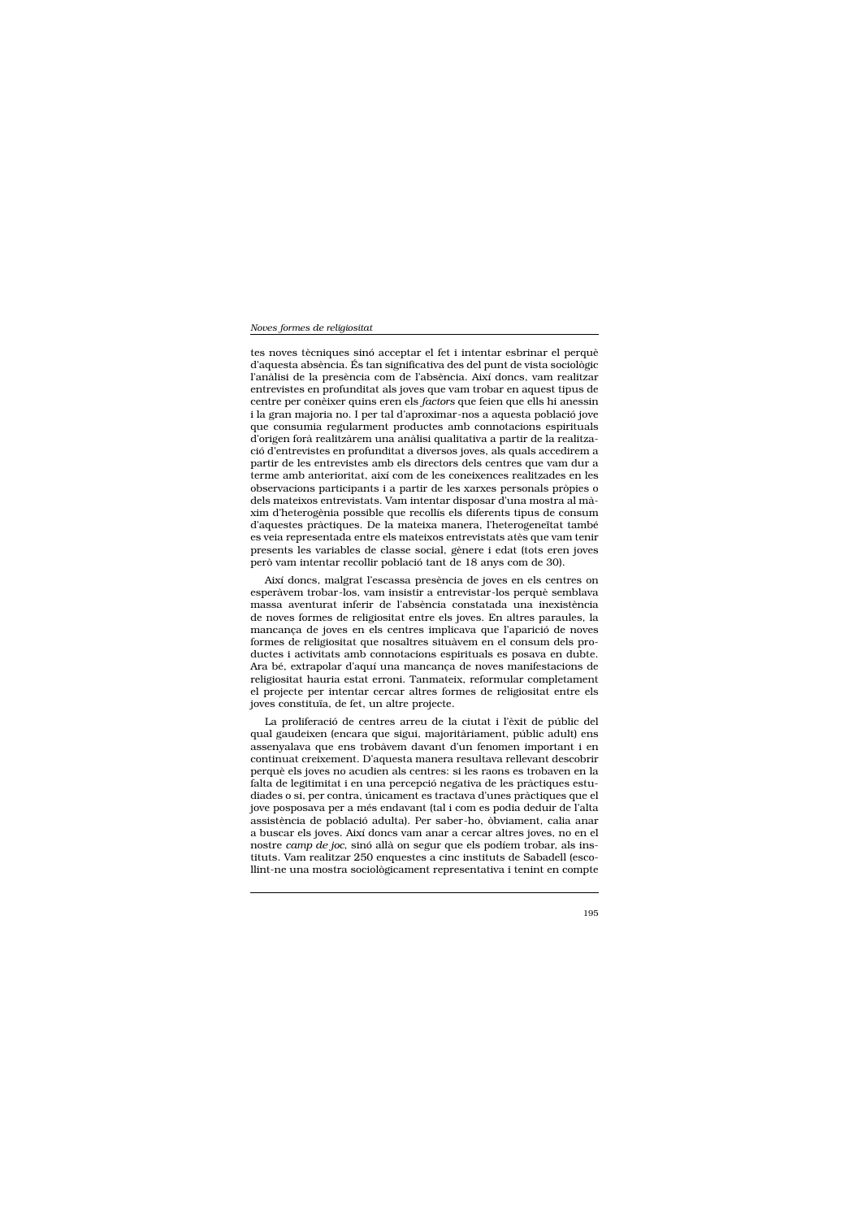tes noves tècniques sinó acceptar el fet i intentar esbrinar el perquè d'aquesta absència. És tan significativa des del punt de vista sociològic l'anàlisi de la presència com de l'absència. Així doncs, vam realitzar entrevistes en profunditat als joves que vam trobar en aquest tipus de centre per conèixer quins eren els factors que feien que ells hi anessin i la gran majoria no. I per tal d'aproximar-nos a aquesta població jove que consumia regularment productes amb connotacions espirituals d'origen forà realitzàrem una anàlisi qualitativa a partir de la realització d'entrevistes en profunditat a diversos joves, als quals accedirem a partir de les entrevistes amb els directors dels centres que vam dur a terme amb anterioritat, així com de les coneixences realitzades en les observacions participants i a partir de les xarxes personals pròpies o dels mateixos entrevistats. Vam intentar disposar d'una mostra al màxim d'heterogènia possible que recollís els diferents tipus de consum d'aquestes pràctiques. De la mateixa manera, l'heterogeneïtat també es veia representada entre els mateixos entrevistats atès que vam tenir presents les variables de classe social, gènere i edat (tots eren joves però vam intentar recollir població tant de 18 anys com de 30).

Així doncs, malgrat l'escassa presència de joves en els centres on esperàvem trobar-los, vam insistir a entrevistar-los perquè semblava massa aventurat inferir de l'absència constatada una inexistència de noves formes de religiositat entre els joves. En altres paraules, la mancança de joves en els centres implicava que l'aparició de noves formes de religiositat que nosaltres situàvem en el consum dels productes i activitats amb connotacions espirituals es posava en dubte. Ara bé, extrapolar d'aquí una mancança de noves manifestacions de religiositat hauria estat erroni. Tanmateix, reformular completament el projecte per intentar cercar altres formes de religiositat entre els joves constituïa, de fet, un altre projecte.

La proliferació de centres arreu de la ciutat i l'èxit de públic del qual gaudeixen (encara que sigui, majoritàriament, públic adult) ens assenyalava que ens trobàvem davant d'un fenomen important i en continuat creixement. D'aquesta manera resultava rellevant descobrir perquè els joves no acudien als centres: si les raons es trobaven en la falta de legitimitat i en una percepció negativa de les pràctiques estudiades o si, per contra, únicament es tractava d'unes pràctiques que el jove posposava per a més endavant (tal i com es podia deduir de l'alta assistència de població adulta). Per saber-ho, òbviament, calia anar a buscar els joves. Així doncs vam anar a cercar altres joves, no en el nostre camp de joc, sinó allà on segur que els podíem trobar, als instituts. Vam realitzar 250 enquestes a cinc instituts de Sabadell (escollint-ne una mostra sociològicament representativa i tenint en compte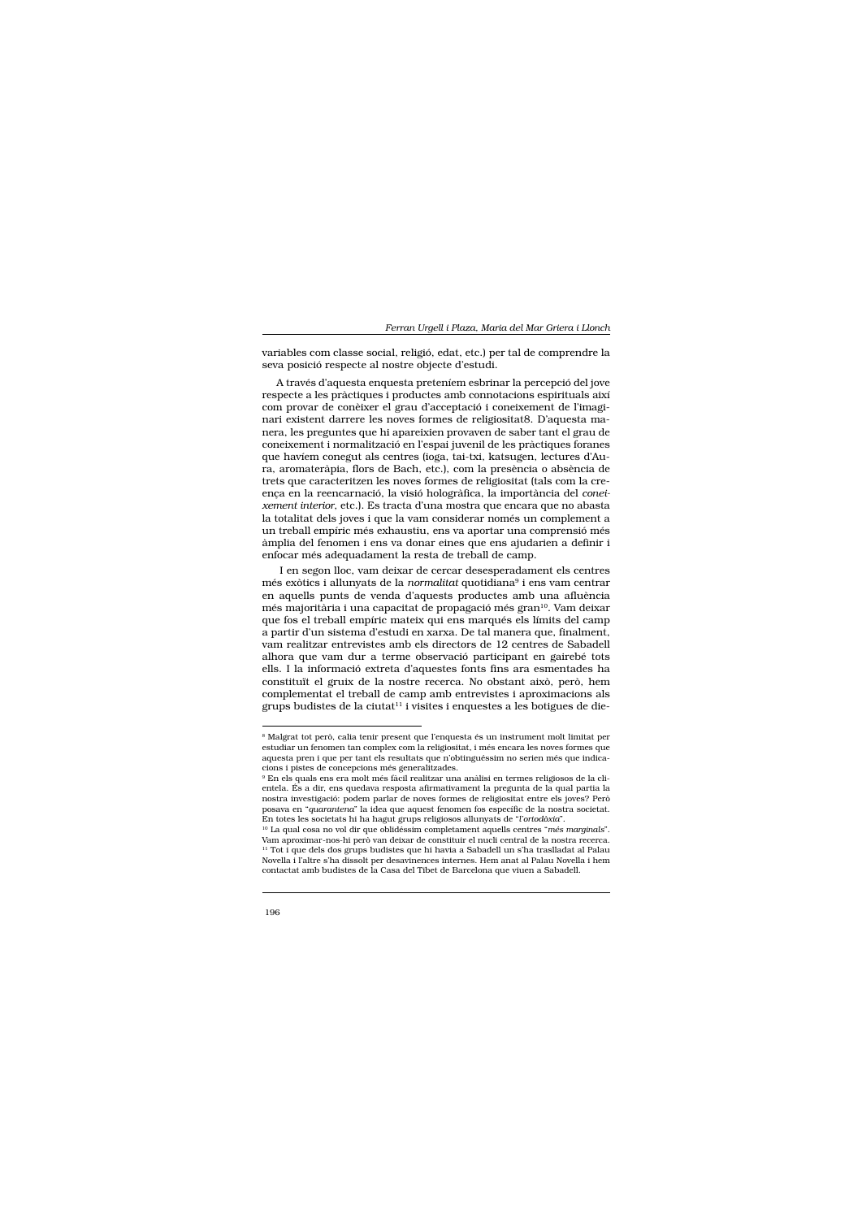variables com classe social, religió, edat, etc.) per tal de comprendre la seva posició respecte al nostre objecte d'estudi.

A través d'aquesta enquesta preteníem esbrinar la percepció del jove respecte a les pràctiques i productes amb connotacions espirituals així com provar de conèixer el grau d'acceptació i coneixement de l'imaginari existent darrere les noves formes de religiositat8. D'aquesta manera, les preguntes que hi apareixien provaven de saber tant el grau de coneixement i normalització en l'espai juvenil de les pràctiques foranes que havíem conegut als centres (ioga, tai-txi, katsugen, lectures d'Aura, aromateràpia, flors de Bach, etc.), com la presència o absència de trets que caracteritzen les noves formes de religiositat (tals com la creença en la reencarnació, la visió hologràfica, la importància del coneixement interior, etc.). Es tracta d'una mostra que encara que no abasta la totalitat dels joves i que la vam considerar només un complement a un treball empíric més exhaustiu, ens va aportar una comprensió més àmplia del fenomen i ens va donar eines que ens ajudarien a definir i enfocar més adequadament la resta de treball de camp.

I en segon lloc, vam deixar de cercar desesperadament els centres més exòtics i allunyats de la normalitat quotidiana<sup>9</sup> i ens vam centrar en aquells punts de venda d'aquests productes amb una afluència més majoritària i una capacitat de propagació més gran<sup>10</sup>. Vam deixar que fos el treball empíric mateix qui ens marqués els límits del camp a partir d'un sistema d'estudi en xarxa. De tal manera que, finalment, vam realitzar entrevistes amb els directors de 12 centres de Sabadell alhora que vam dur a terme observació participant en gairebé tots ells. I la informació extreta d'aquestes fonts fins ara esmentades ha constituït el gruix de la nostre recerca. No obstant això, però, hem complementat el treball de camp amb entrevistes i aproximacions als grups budistes de la ciutat<sup>11</sup> i visites i enquestes a les botigues de die-

<sup>&</sup>lt;sup>8</sup> Malgrat tot però, calia tenir present que l'enquesta és un instrument molt limitat per estudiar un fenomen tan complex com la religiositat, i més encara les noves formes que aquesta pren i que per tant els resultats que n'obtinguéssim no serien més que indicacions i pistes de concepcions més generalitzades.

<sup>&</sup>lt;sup>9</sup> En els quals ens era molt més fàcil realitzar una anàlisi en termes religiosos de la clientela. És a dir, ens quedava resposta afirmativament la pregunta de la qual partia la nostra investigació: podem parlar de noves formes de religiositat entre els joves? Però posava en "quarantena" la idea que aquest fenomen fos específic de la nostra societat. En totes les societats hi ha hagut grups religiosos allunyats de "l'ortodòxia".

<sup>&</sup>lt;sup>10</sup> La qual cosa no vol dir que oblidéssim completament aquells centres "més marginals". Vam aproximar-nos-hi però van deixar de constituir el nucli central de la nostra recerca. <sup>11</sup> Tot i que dels dos grups budistes que hi havia a Sabadell un s'ha traslladat al Palau Novella i l'altre s'ha dissolt per desavinences internes. Hem anat al Palau Novella i hem contactat amb budistes de la Casa del Tibet de Barcelona que viuen a Sabadell.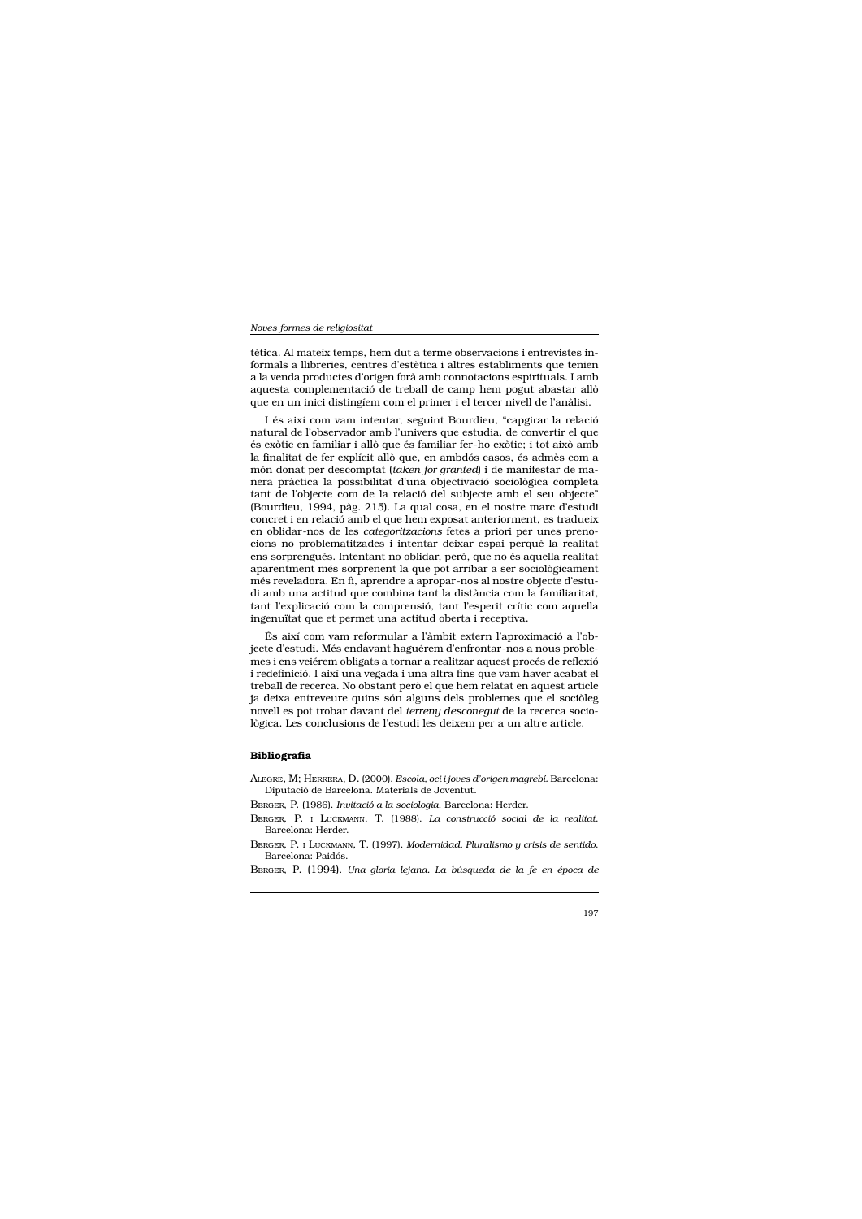tètica. Al mateix temps, hem dut a terme observacions i entrevistes informals a llibreries, centres d'estètica i altres establiments que tenien a la venda productes d'origen forà amb connotacions espirituals. I amb aquesta complementació de treball de camp hem pogut abastar allò que en un inici distingiem com el primer i el tercer nivell de l'anàlisi.

I és així com vam intentar, seguint Bourdieu, "capgirar la relació natural de l'observador amb l'univers que estudia, de convertir el que és exòtic en familiar i allò que és familiar fer-ho exòtic; i tot això amb la finalitat de fer explícit allò que, en ambdós casos, és admès com a món donat per descomptat (taken for granted) i de manifestar de manera pràctica la possibilitat d'una objectivació sociològica completa tant de l'objecte com de la relació del subjecte amb el seu objecte" (Bourdieu, 1994, pàg. 215). La qual cosa, en el nostre marc d'estudi concret i en relació amb el que hem exposat anteriorment, es tradueix en oblidar-nos de les *categoritzacions* fetes a priori per unes prenocions no problematitzades i intentar deixar espai perquè la realitat ens sorprengués. Intentant no oblidar, però, que no és aquella realitat aparentment més sorprenent la que pot arribar a ser sociològicament més reveladora. En fi, aprendre a apropar-nos al nostre objecte d'estudi amb una actitud que combina tant la distància com la familiaritat, tant l'explicació com la comprensió, tant l'esperit crític com aquella ingenuïtat que et permet una actitud oberta i receptiva.

És així com vam reformular a l'àmbit extern l'aproximació a l'objecte d'estudi. Més endavant haguérem d'enfrontar-nos a nous problemes i ens veiérem obligats a tornar a realitzar aquest procés de reflexió i redefinició. I així una vegada i una altra fins que vam haver acabat el treball de recerca. No obstant però el que hem relatat en aquest article ja deixa entreveure quins són alguns dels problemes que el sociòleg novell es pot trobar davant del terreny desconegut de la recerca sociològica. Les conclusions de l'estudi les deixem per a un altre article.

# **Bibliografia**

- ALEGRE, M; HERRERA, D. (2000). Escola, oci i joves d'origen magrebí. Barcelona: Diputació de Barcelona. Materials de Joventut.
- BERGER, P. (1986). Invitació a la sociologia. Barcelona: Herder.
- BERGER, P. I LUCKMANN, T. (1988). La construcció social de la realitat. Barcelona: Herder.
- BERGER, P. I LUCKMANN, T. (1997). Modernidad, Pluralismo y crisis de sentido. Barcelona: Paidós.
- BERGER, P. (1994). Una gloria lejana. La búsqueda de la fe en época de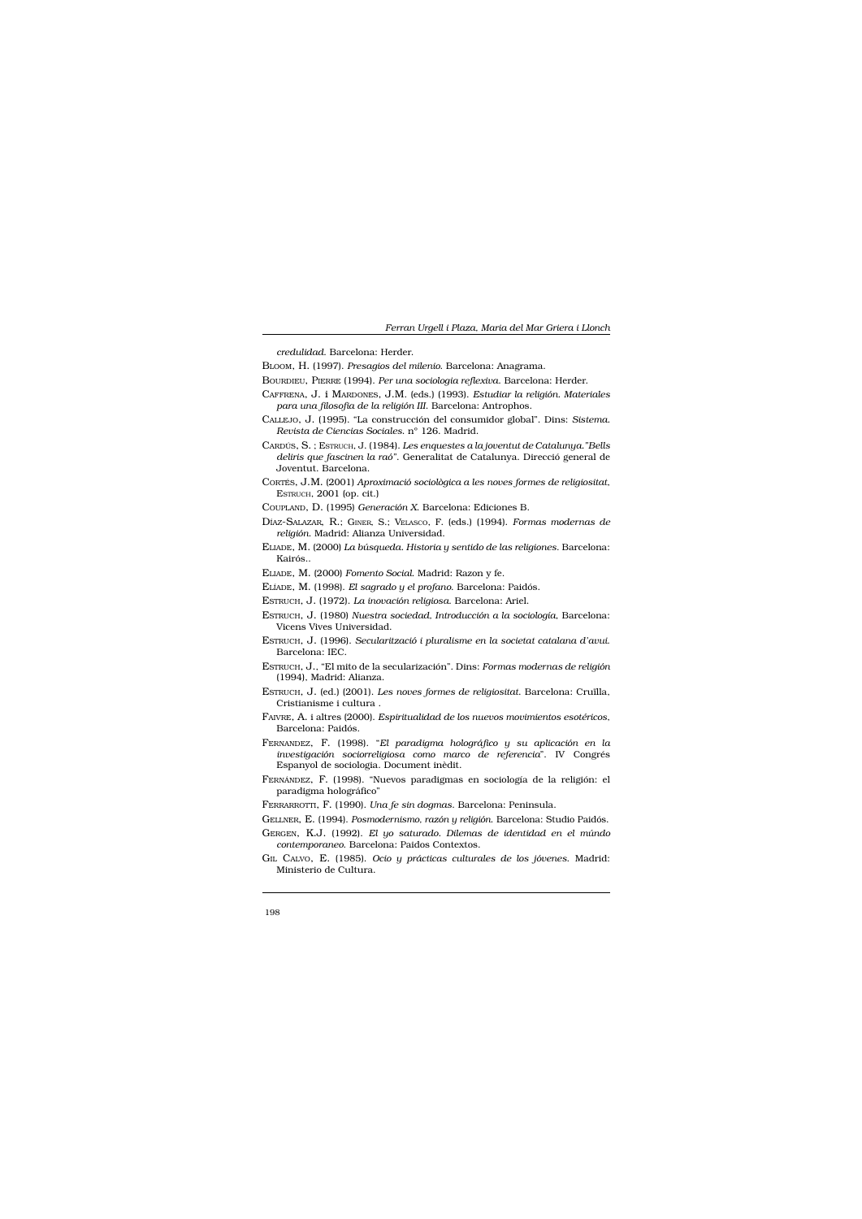credulidad. Barcelona: Herder.

BLOOM, H. (1997). Presagios del milenio. Barcelona: Anagrama.

- BOURDIEU, PIERRE (1994). Per una sociologia reflexiva. Barcelona: Herder.
- CAFFRENA, J. i MARDONES, J.M. (eds.) (1993). Estudiar la religión. Materiales para una filosofia de la religión III. Barcelona: Antrophos.
- CALLEJO, J. (1995). "La construcción del consumidor global". Dins: Sistema. Revista de Ciencias Sociales. nº 126. Madrid.
- CARDÚS, S.; ESTRUCH, J. (1984). Les enquestes a la joventut de Catalunya."Bells deliris que fascinen la raó". Generalitat de Catalunya. Direcció general de Joventut. Barcelona.
- CORTÉS, J.M. (2001) Aproximació sociològica a les noves formes de religiositat, ESTRUCH, 2001 (op. cit.)
- COUPLAND, D. (1995) Generación X. Barcelona: Ediciones B.
- DÍAZ-SALAZAR, R.; GINER, S.; VELASCO, F. (eds.) (1994). Formas modernas de religión. Madrid: Alianza Universidad.
- ELIADE, M. (2000) La búsqueda. Historia y sentido de las religiones. Barcelona: Kairós..
- ELIADE, M. (2000) Fomento Social. Madrid: Razon y fe.
- ELÍADE, M. (1998). El sagrado y el profano. Barcelona: Paidós.
- ESTRUCH, J. (1972). La inovación religiosa. Barcelona: Ariel.
- ESTRUCH, J. (1980) Nuestra sociedad, Introducción a la sociología, Barcelona: Vicens Vives Universidad.
- ESTRUCH, J. (1996). Secularització i pluralisme en la societat catalana d'avui. Barcelona: IEC.
- ESTRUCH, J., "El mito de la secularización". Dins: Formas modernas de religión (1994), Madrid: Alianza.
- ESTRUCH, J. (ed.) (2001). Les noves formes de religiositat. Barcelona: Cruïlla, Cristianisme i cultura.
- FAIVRE, A. i altres (2000). Espiritualidad de los nuevos movimientos esotéricos, Barcelona: Paidós.
- FERNANDEZ, F. (1998). "El paradigma holográfico y su aplicación en la investigación sociorreligiosa como marco de referencia". IV Congrés Espanyol de sociologia. Document inèdit.
- FERNÁNDEZ, F. (1998). "Nuevos paradigmas en sociología de la religión: el paradigma holográfico"
- FERRARROTTI, F. (1990). Una fe sin dogmas. Barcelona: Peninsula.
- GELLNER, E. (1994). Posmodernismo, razón y religión. Barcelona: Studio Paidós.
- GERGEN, K.J. (1992). El yo saturado. Dilemas de identidad en el múndo contemporaneo. Barcelona: Paidos Contextos.
- GIL CALVO, E. (1985). Ocio y prácticas culturales de los jóvenes. Madrid: Ministerio de Cultura.